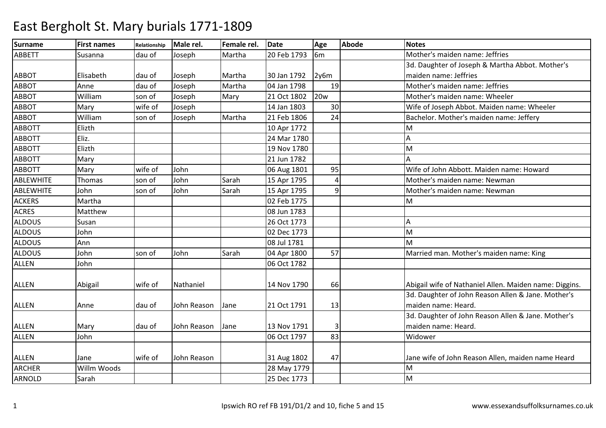| <b>Surname</b> | <b>First names</b> | Relationship | Male rel.   | Female rel. | <b>Date</b> | Age            | <b>Abode</b> | <b>Notes</b>                                                              |
|----------------|--------------------|--------------|-------------|-------------|-------------|----------------|--------------|---------------------------------------------------------------------------|
| <b>ABBETT</b>  | Susanna            | dau of       | Joseph      | Martha      | 20 Feb 1793 | 6 <sub>m</sub> |              | Mother's maiden name: Jeffries                                            |
|                |                    |              |             |             |             |                |              | 3d. Daughter of Joseph & Martha Abbot. Mother's                           |
| <b>ABBOT</b>   | Elisabeth          | dau of       | Joseph      | Martha      | 30 Jan 1792 | 2y6m           |              | maiden name: Jeffries                                                     |
| <b>ABBOT</b>   | Anne               | dau of       | Joseph      | Martha      | 04 Jan 1798 | 19             |              | Mother's maiden name: Jeffries                                            |
| <b>ABBOT</b>   | William            | son of       | Joseph      | Mary        | 21 Oct 1802 | <b>20w</b>     |              | Mother's maiden name: Wheeler                                             |
| <b>ABBOT</b>   | Mary               | wife of      | Joseph      |             | 14 Jan 1803 | 30             |              | Wife of Joseph Abbot. Maiden name: Wheeler                                |
| <b>ABBOT</b>   | William            | son of       | Joseph      | Martha      | 21 Feb 1806 | 24             |              | Bachelor. Mother's maiden name: Jeffery                                   |
| <b>ABBOTT</b>  | Elizth             |              |             |             | 10 Apr 1772 |                |              | M                                                                         |
| <b>ABBOTT</b>  | Eliz.              |              |             |             | 24 Mar 1780 |                |              | Α                                                                         |
| <b>ABBOTT</b>  | Elizth             |              |             |             | 19 Nov 1780 |                |              | M                                                                         |
| <b>ABBOTT</b>  | Mary               |              |             |             | 21 Jun 1782 |                |              |                                                                           |
| <b>ABBOTT</b>  | Mary               | wife of      | John        |             | 06 Aug 1801 | 95             |              | Wife of John Abbott. Maiden name: Howard                                  |
| ABLEWHITE      | Thomas             | son of       | John        | Sarah       | 15 Apr 1795 | 4              |              | Mother's maiden name: Newman                                              |
| ABLEWHITE      | John               | son of       | John        | Sarah       | 15 Apr 1795 | $\overline{9}$ |              | Mother's maiden name: Newman                                              |
| <b>ACKERS</b>  | Martha             |              |             |             | 02 Feb 1775 |                |              | M                                                                         |
| <b>ACRES</b>   | Matthew            |              |             |             | 08 Jun 1783 |                |              |                                                                           |
| <b>ALDOUS</b>  | Susan              |              |             |             | 26 Oct 1773 |                |              | А                                                                         |
| ALDOUS         | John               |              |             |             | 02 Dec 1773 |                |              | M                                                                         |
| <b>ALDOUS</b>  | Ann                |              |             |             | 08 Jul 1781 |                |              | M                                                                         |
| <b>ALDOUS</b>  | John               | son of       | John        | Sarah       | 04 Apr 1800 | 57             |              | Married man. Mother's maiden name: King                                   |
| <b>ALLEN</b>   | John               |              |             |             | 06 Oct 1782 |                |              |                                                                           |
|                |                    |              |             |             |             |                |              |                                                                           |
| <b>ALLEN</b>   | Abigail            | wife of      | Nathaniel   |             | 14 Nov 1790 | 66             |              | Abigail wife of Nathaniel Allen. Maiden name: Diggins.                    |
|                |                    |              |             |             |             |                |              | 3d. Daughter of John Reason Allen & Jane. Mother's                        |
| <b>ALLEN</b>   | Anne               | dau of       | John Reason | Jane        | 21 Oct 1791 | 13             |              | maiden name: Heard.                                                       |
|                |                    |              |             |             |             |                |              | 3d. Daughter of John Reason Allen & Jane. Mother's<br>maiden name: Heard. |
| <b>ALLEN</b>   | Mary               | dau of       | John Reason | Jane        | 13 Nov 1791 | 3              |              | Widower                                                                   |
| <b>ALLEN</b>   | John               |              |             |             | 06 Oct 1797 | 83             |              |                                                                           |
| <b>ALLEN</b>   | Jane               | wife of      | John Reason |             | 31 Aug 1802 | 47             |              | Jane wife of John Reason Allen, maiden name Heard                         |
| ARCHER         | Willm Woods        |              |             |             | 28 May 1779 |                |              | M                                                                         |
| ARNOLD         | Sarah              |              |             |             | 25 Dec 1773 |                |              | M                                                                         |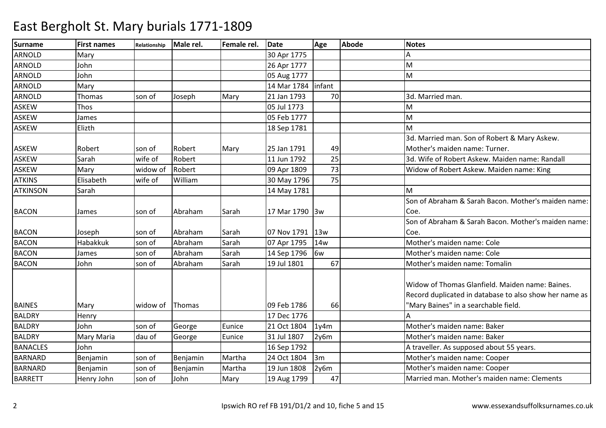| <b>Surname</b>  | <b>First names</b> | <b>Relationship</b> | Male rel. | Female rel. | <b>Date</b>    | Age             | <b>Abode</b> | <b>Notes</b>                                                                                                                                      |
|-----------------|--------------------|---------------------|-----------|-------------|----------------|-----------------|--------------|---------------------------------------------------------------------------------------------------------------------------------------------------|
| ARNOLD          | Mary               |                     |           |             | 30 Apr 1775    |                 |              |                                                                                                                                                   |
| <b>ARNOLD</b>   | John               |                     |           |             | 26 Apr 1777    |                 |              | M                                                                                                                                                 |
| <b>ARNOLD</b>   | John               |                     |           |             | 05 Aug 1777    |                 |              | M                                                                                                                                                 |
| <b>ARNOLD</b>   | Mary               |                     |           |             | 14 Mar 1784    | infant          |              |                                                                                                                                                   |
| <b>ARNOLD</b>   | Thomas             | son of              | Joseph    | Mary        | 21 Jan 1793    | 70              |              | 3d. Married man.                                                                                                                                  |
| <b>ASKEW</b>    | Thos               |                     |           |             | 05 Jul 1773    |                 |              | M                                                                                                                                                 |
| <b>ASKEW</b>    | James              |                     |           |             | 05 Feb 1777    |                 |              | M                                                                                                                                                 |
| <b>ASKEW</b>    | Elizth             |                     |           |             | 18 Sep 1781    |                 |              | M                                                                                                                                                 |
|                 |                    |                     |           |             |                |                 |              | 3d. Married man. Son of Robert & Mary Askew.                                                                                                      |
| <b>ASKEW</b>    | Robert             | son of              | Robert    | Mary        | 25 Jan 1791    | 49              |              | Mother's maiden name: Turner.                                                                                                                     |
| <b>ASKEW</b>    | Sarah              | wife of             | Robert    |             | 11 Jun 1792    | 25              |              | 3d. Wife of Robert Askew. Maiden name: Randall                                                                                                    |
| <b>ASKEW</b>    | Mary               | widow of            | Robert    |             | 09 Apr 1809    | 73              |              | Widow of Robert Askew. Maiden name: King                                                                                                          |
| <b>ATKINS</b>   | Elisabeth          | wife of             | William   |             | 30 May 1796    | 75              |              |                                                                                                                                                   |
| <b>ATKINSON</b> | Sarah              |                     |           |             | 14 May 1781    |                 |              | M                                                                                                                                                 |
|                 |                    |                     |           |             |                |                 |              | Son of Abraham & Sarah Bacon. Mother's maiden name:                                                                                               |
| <b>BACON</b>    | James              | son of              | Abraham   | Sarah       | 17 Mar 1790 3w |                 |              | Coe.                                                                                                                                              |
|                 |                    |                     |           |             |                |                 |              | Son of Abraham & Sarah Bacon. Mother's maiden name:                                                                                               |
| <b>BACON</b>    | Joseph             | son of              | Abraham   | Sarah       | 07 Nov 1791    | 13w             |              | Coe.                                                                                                                                              |
| <b>BACON</b>    | Habakkuk           | son of              | Abraham   | Sarah       | 07 Apr 1795    | 14 <sub>w</sub> |              | Mother's maiden name: Cole                                                                                                                        |
| <b>BACON</b>    | James              | son of              | Abraham   | Sarah       | 14 Sep 1796    | 6w              |              | Mother's maiden name: Cole                                                                                                                        |
| <b>BACON</b>    | John               | son of              | Abraham   | Sarah       | 19 Jul 1801    | 67              |              | Mother's maiden name: Tomalin                                                                                                                     |
| <b>BAINES</b>   | Mary               | widow of            | Thomas    |             | 09 Feb 1786    | 66              |              | Widow of Thomas Glanfield. Maiden name: Baines.<br>Record duplicated in database to also show her name as<br>"Mary Baines" in a searchable field. |
| <b>BALDRY</b>   | Henry              |                     |           |             | 17 Dec 1776    |                 |              |                                                                                                                                                   |
| <b>BALDRY</b>   | John               | son of              | George    | Eunice      | 21 Oct 1804    | 1y4m            |              | Mother's maiden name: Baker                                                                                                                       |
| <b>BALDRY</b>   | Mary Maria         | dau of              | George    | Eunice      | 31 Jul 1807    | 2y6m            |              | Mother's maiden name: Baker                                                                                                                       |
| <b>BANACLES</b> | John               |                     |           |             | 16 Sep 1792    |                 |              | A traveller. As supposed about 55 years.                                                                                                          |
| <b>BARNARD</b>  | Benjamin           | son of              | Benjamin  | Martha      | 24 Oct 1804    | 3m              |              | Mother's maiden name: Cooper                                                                                                                      |
| <b>BARNARD</b>  | Benjamin           | son of              | Benjamin  | Martha      | 19 Jun 1808    | 2y6m            |              | Mother's maiden name: Cooper                                                                                                                      |
| <b>BARRETT</b>  | Henry John         | son of              | John      | Mary        | 19 Aug 1799    | 47              |              | Married man. Mother's maiden name: Clements                                                                                                       |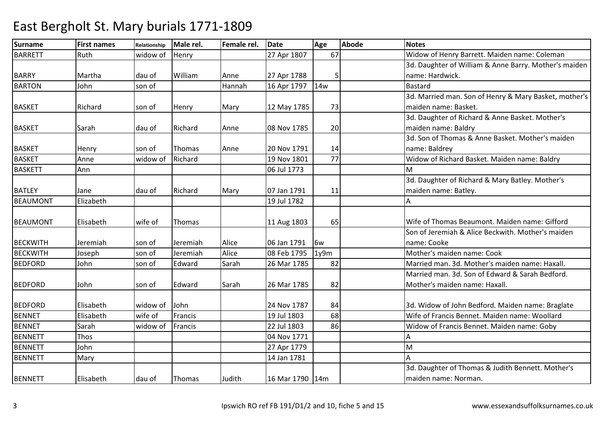| <b>Surname</b>  | <b>First names</b> | Relationship | Male rel. | Female rel. | <b>Date</b>       | Age        | <b>Abode</b> | <b>Notes</b>                                          |
|-----------------|--------------------|--------------|-----------|-------------|-------------------|------------|--------------|-------------------------------------------------------|
| <b>BARRETT</b>  | Ruth               | widow of     | Henry     |             | 27 Apr 1807       | 67         |              | Widow of Henry Barrett. Maiden name: Coleman          |
|                 |                    |              |           |             |                   |            |              | 3d. Daughter of William & Anne Barry. Mother's maiden |
| <b>BARRY</b>    | Martha             | dau of       | William   | Anne        | 27 Apr 1788       |            |              | name: Hardwick.                                       |
| <b>BARTON</b>   | John               | son of       |           | Hannah      | 16 Apr 1797       | <b>14w</b> |              | <b>Bastard</b>                                        |
|                 |                    |              |           |             |                   |            |              | 3d. Married man. Son of Henry & Mary Basket, mother's |
| <b>BASKET</b>   | Richard            | son of       | Henry     | Mary        | 12 May 1785       | 73         |              | maiden name: Basket.                                  |
|                 |                    |              |           |             |                   |            |              | 3d. Daughter of Richard & Anne Basket. Mother's       |
| <b>BASKET</b>   | Sarah              | dau of       | Richard   | Anne        | 08 Nov 1785       | 20         |              | maiden name: Baldry                                   |
|                 |                    |              |           |             |                   |            |              | 3d. Son of Thomas & Anne Basket, Mother's maiden      |
| <b>BASKET</b>   | Henry              | son of       | Thomas    | Anne        | 20 Nov 1791       | 14         |              | name: Baldrey                                         |
| <b>BASKET</b>   | Anne               | widow of     | Richard   |             | 19 Nov 1801       | 77         |              | Widow of Richard Basket. Maiden name: Baldry          |
| <b>BASKETT</b>  | Ann                |              |           |             | 06 Jul 1773       |            |              | M                                                     |
|                 |                    |              |           |             |                   |            |              | 3d. Daughter of Richard & Mary Batley. Mother's       |
| <b>BATLEY</b>   | Jane               | dau of       | Richard   | Mary        | 07 Jan 1791       | 11         |              | maiden name: Batley.                                  |
| <b>BEAUMONT</b> | Elizabeth          |              |           |             | 19 Jul 1782       |            |              |                                                       |
|                 |                    |              |           |             |                   |            |              |                                                       |
| <b>BEAUMONT</b> | Elisabeth          | wife of      | Thomas    |             | 11 Aug 1803       | 65         |              | Wife of Thomas Beaumont. Maiden name: Gifford         |
|                 |                    |              |           |             |                   |            |              | Son of Jeremiah & Alice Beckwith. Mother's maiden     |
| <b>BECKWITH</b> | Jeremiah           | son of       | Jeremiah  | Alice       | 06 Jan 1791       | 6w         |              | name: Cooke                                           |
| <b>BECKWITH</b> | Joseph             | son of       | Jeremiah  | Alice       | 08 Feb 1795       | 1y9m       |              | Mother's maiden name: Cook                            |
| <b>BEDFORD</b>  | John               | son of       | Edward    | Sarah       | 26 Mar 1785       | 82         |              | Married man. 3d. Mother's maiden name: Haxall.        |
|                 |                    |              |           |             |                   |            |              | Married man. 3d. Son of Edward & Sarah Bedford.       |
| <b>BEDFORD</b>  | John               | son of       | Edward    | Sarah       | 26 Mar 1785       | 82         |              | Mother's maiden name: Haxall.                         |
|                 |                    |              |           |             |                   |            |              |                                                       |
| <b>BEDFORD</b>  | Elisabeth          | widow of     | John      |             | 24 Nov 1787       | 84         |              | 3d. Widow of John Bedford. Maiden name: Braglate      |
| <b>BENNET</b>   | Elisabeth          | wife of      | Francis   |             | 19 Jul 1803       | 68         |              | Wife of Francis Bennet, Maiden name: Woollard         |
| <b>BENNET</b>   | Sarah              | widow of     | Francis   |             | 22 Jul 1803       | 86         |              | Widow of Francis Bennet. Maiden name: Goby            |
| <b>BENNETT</b>  | Thos               |              |           |             | 04 Nov 1771       |            |              |                                                       |
| <b>BENNETT</b>  | John               |              |           |             | 27 Apr 1779       |            |              | M                                                     |
| <b>BENNETT</b>  | Mary               |              |           |             | 14 Jan 1781       |            |              |                                                       |
|                 |                    |              |           |             |                   |            |              | 3d. Daughter of Thomas & Judith Bennett. Mother's     |
| <b>BENNETT</b>  | Elisabeth          | dau of       | Thomas    | Judith      | 16 Mar 1790   14m |            |              | maiden name: Norman.                                  |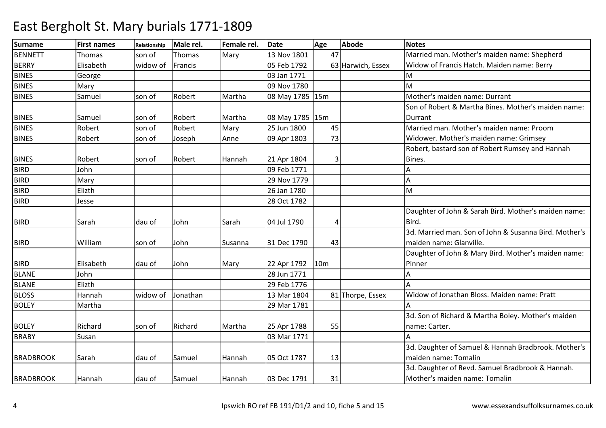| <b>Surname</b>   | <b>First names</b> | Relationship | Male rel. | Female rel. | <b>Date</b>     | Age             | <b>Abode</b>      | <b>Notes</b>                                          |
|------------------|--------------------|--------------|-----------|-------------|-----------------|-----------------|-------------------|-------------------------------------------------------|
| <b>BENNETT</b>   | <b>Thomas</b>      | son of       | Thomas    | Mary        | 13 Nov 1801     | 47              |                   | Married man. Mother's maiden name: Shepherd           |
| <b>BERRY</b>     | Elisabeth          | widow of     | Francis   |             | 05 Feb 1792     |                 | 63 Harwich, Essex | Widow of Francis Hatch. Maiden name: Berry            |
| <b>BINES</b>     | George             |              |           |             | 03 Jan 1771     |                 |                   | M                                                     |
| <b>BINES</b>     | Mary               |              |           |             | 09 Nov 1780     |                 |                   | M                                                     |
| <b>BINES</b>     | Samuel             | son of       | Robert    | Martha      | 08 May 1785 15m |                 |                   | Mother's maiden name: Durrant                         |
|                  |                    |              |           |             |                 |                 |                   | Son of Robert & Martha Bines. Mother's maiden name:   |
| <b>BINES</b>     | Samuel             | son of       | Robert    | Martha      | 08 May 1785 15m |                 |                   | Durrant                                               |
| <b>BINES</b>     | Robert             | son of       | Robert    | Mary        | 25 Jun 1800     | 45              |                   | Married man. Mother's maiden name: Proom              |
| <b>BINES</b>     | Robert             | son of       | Joseph    | Anne        | 09 Apr 1803     | 73              |                   | Widower. Mother's maiden name: Grimsey                |
|                  |                    |              |           |             |                 |                 |                   | Robert, bastard son of Robert Rumsey and Hannah       |
| <b>BINES</b>     | Robert             | son of       | Robert    | Hannah      | 21 Apr 1804     | 3               |                   | Bines.                                                |
| <b>BIRD</b>      | John               |              |           |             | 09 Feb 1771     |                 |                   |                                                       |
| <b>BIRD</b>      | Mary               |              |           |             | 29 Nov 1779     |                 |                   | Α                                                     |
| <b>BIRD</b>      | Elizth             |              |           |             | 26 Jan 1780     |                 |                   | M                                                     |
| <b>BIRD</b>      | Jesse              |              |           |             | 28 Oct 1782     |                 |                   |                                                       |
|                  |                    |              |           |             |                 |                 |                   | Daughter of John & Sarah Bird. Mother's maiden name:  |
| <b>BIRD</b>      | Sarah              | dau of       | John      | Sarah       | 04 Jul 1790     |                 |                   | Bird.                                                 |
|                  |                    |              |           |             |                 |                 |                   | 3d. Married man. Son of John & Susanna Bird. Mother's |
| <b>BIRD</b>      | William            | son of       | John      | Susanna     | 31 Dec 1790     | 43              |                   | maiden name: Glanville.                               |
|                  |                    |              |           |             |                 |                 |                   | Daughter of John & Mary Bird. Mother's maiden name:   |
| <b>BIRD</b>      | Elisabeth          | dau of       | John      | Mary        | 22 Apr 1792     | 10 <sub>m</sub> |                   | Pinner                                                |
| <b>BLANE</b>     | John               |              |           |             | 28 Jun 1771     |                 |                   | А                                                     |
| <b>BLANE</b>     | Elizth             |              |           |             | 29 Feb 1776     |                 |                   |                                                       |
| <b>BLOSS</b>     | Hannah             | widow of     | Jonathan  |             | 13 Mar 1804     |                 | 81 Thorpe, Essex  | Widow of Jonathan Bloss. Maiden name: Pratt           |
| <b>BOLEY</b>     | Martha             |              |           |             | 29 Mar 1781     |                 |                   |                                                       |
|                  |                    |              |           |             |                 |                 |                   | 3d. Son of Richard & Martha Boley. Mother's maiden    |
| <b>BOLEY</b>     | Richard            | son of       | Richard   | Martha      | 25 Apr 1788     | 55              |                   | name: Carter.                                         |
| <b>BRABY</b>     | Susan              |              |           |             | 03 Mar 1771     |                 |                   |                                                       |
|                  |                    |              |           |             |                 |                 |                   | 3d. Daughter of Samuel & Hannah Bradbrook. Mother's   |
| <b>BRADBROOK</b> | Sarah              | dau of       | Samuel    | Hannah      | 05 Oct 1787     | 13              |                   | maiden name: Tomalin                                  |
|                  |                    |              |           |             |                 |                 |                   | 3d. Daughter of Revd. Samuel Bradbrook & Hannah.      |
| <b>BRADBROOK</b> | Hannah             | dau of       | Samuel    | Hannah      | 03 Dec 1791     | 31              |                   | Mother's maiden name: Tomalin                         |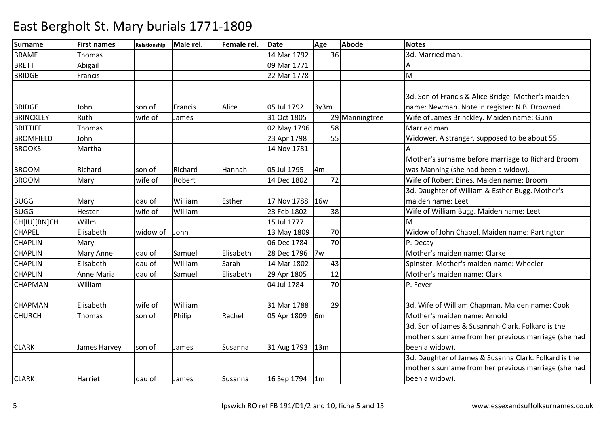| <b>Surname</b>   | <b>First names</b> | <b>Relationship</b> | Male rel.      | Female rel. | <b>Date</b>      | Age            | <b>Abode</b>   | <b>Notes</b>                                          |
|------------------|--------------------|---------------------|----------------|-------------|------------------|----------------|----------------|-------------------------------------------------------|
| <b>BRAME</b>     | Thomas             |                     |                |             | 14 Mar 1792      | 36             |                | 3d. Married man.                                      |
| <b>BRETT</b>     | Abigail            |                     |                |             | 09 Mar 1771      |                |                |                                                       |
| <b>BRIDGE</b>    | Francis            |                     |                |             | 22 Mar 1778      |                |                | M                                                     |
|                  |                    |                     |                |             |                  |                |                |                                                       |
|                  |                    |                     |                |             |                  |                |                | 3d. Son of Francis & Alice Bridge. Mother's maiden    |
| <b>BRIDGE</b>    | John               | son of              | <b>Francis</b> | Alice       | 05 Jul 1792      | 3y3m           |                | name: Newman. Note in register: N.B. Drowned.         |
| <b>BRINCKLEY</b> | Ruth               | wife of             | James          |             | 31 Oct 1805      |                | 29 Manningtree | Wife of James Brinckley. Maiden name: Gunn            |
| <b>BRITTIFF</b>  | Thomas             |                     |                |             | 02 May 1796      | 58             |                | Married man                                           |
| <b>BROMFIELD</b> | John               |                     |                |             | 23 Apr 1798      | 55             |                | Widower. A stranger, supposed to be about 55.         |
| <b>BROOKS</b>    | Martha             |                     |                |             | 14 Nov 1781      |                |                |                                                       |
|                  |                    |                     |                |             |                  |                |                | Mother's surname before marriage to Richard Broom     |
| <b>BROOM</b>     | Richard            | son of              | Richard        | Hannah      | 05 Jul 1795      | 4 <sub>m</sub> |                | was Manning (she had been a widow).                   |
| <b>BROOM</b>     | Mary               | wife of             | Robert         |             | 14 Dec 1802      | 72             |                | Wife of Robert Bines. Maiden name: Broom              |
|                  |                    |                     |                |             |                  |                |                | 3d. Daughter of William & Esther Bugg. Mother's       |
| <b>BUGG</b>      | Mary               | dau of              | William        | Esther      | 17 Nov 1788      | 16w            |                | maiden name: Leet                                     |
| <b>BUGG</b>      | Hester             | wife of             | William        |             | 23 Feb 1802      | 38             |                | Wife of William Bugg. Maiden name: Leet               |
| CH[IU][RN]CH     | Willm              |                     |                |             | 15 Jul 1777      |                |                | м                                                     |
| <b>CHAPEL</b>    | Elisabeth          | widow of            | John           |             | 13 May 1809      | 70             |                | Widow of John Chapel. Maiden name: Partington         |
| <b>CHAPLIN</b>   | Mary               |                     |                |             | 06 Dec 1784      | 70             |                | P. Decay                                              |
| <b>CHAPLIN</b>   | Mary Anne          | dau of              | Samuel         | Elisabeth   | 28 Dec 1796      | 7w             |                | Mother's maiden name: Clarke                          |
| <b>CHAPLIN</b>   | Elisabeth          | dau of              | William        | Sarah       | 14 Mar 1802      | 43             |                | Spinster. Mother's maiden name: Wheeler               |
| <b>CHAPLIN</b>   | Anne Maria         | dau of              | Samuel         | Elisabeth   | 29 Apr 1805      | 12             |                | Mother's maiden name: Clark                           |
| <b>CHAPMAN</b>   | William            |                     |                |             | 04 Jul 1784      | 70             |                | P. Fever                                              |
|                  |                    |                     |                |             |                  |                |                |                                                       |
| <b>CHAPMAN</b>   | Elisabeth          | wife of             | William        |             | 31 Mar 1788      | 29             |                | 3d. Wife of William Chapman. Maiden name: Cook        |
| <b>CHURCH</b>    | Thomas             | son of              | Philip         | Rachel      | 05 Apr 1809      | 6 <sub>m</sub> |                | Mother's maiden name: Arnold                          |
|                  |                    |                     |                |             |                  |                |                | 3d. Son of James & Susannah Clark. Folkard is the     |
|                  |                    |                     |                |             |                  |                |                | mother's surname from her previous marriage (she had  |
| <b>CLARK</b>     | James Harvey       | son of              | James          | Susanna     | 31 Aug 1793      | 13m            |                | been a widow).                                        |
|                  |                    |                     |                |             |                  |                |                | 3d. Daughter of James & Susanna Clark. Folkard is the |
|                  |                    |                     |                |             |                  |                |                | mother's surname from her previous marriage (she had  |
| <b>CLARK</b>     | Harriet            | dau of              | James          | Susanna     | 16 Sep 1794   1m |                |                | been a widow).                                        |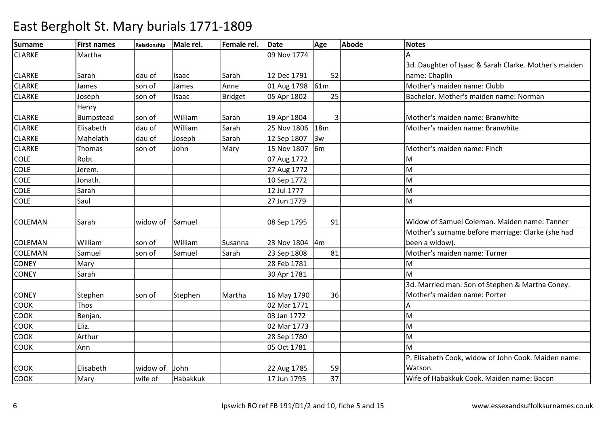| <b>Surname</b> | <b>First names</b> | <b>Relationship</b> | Male rel. | Female rel.    | <b>Date</b>     | Age | <b>Abode</b> | <b>Notes</b>                                          |
|----------------|--------------------|---------------------|-----------|----------------|-----------------|-----|--------------|-------------------------------------------------------|
| <b>CLARKE</b>  | Martha             |                     |           |                | 09 Nov 1774     |     |              |                                                       |
|                |                    |                     |           |                |                 |     |              | 3d. Daughter of Isaac & Sarah Clarke. Mother's maiden |
| <b>CLARKE</b>  | Sarah              | dau of              | Isaac     | Sarah          | 12 Dec 1791     | 52  |              | name: Chaplin                                         |
| <b>CLARKE</b>  | James              | son of              | James     | Anne           | 01 Aug 1798     | 61m |              | Mother's maiden name: Clubb                           |
| <b>CLARKE</b>  | Joseph             | son of              | Isaac     | <b>Bridget</b> | 05 Apr 1802     | 25  |              | Bachelor. Mother's maiden name: Norman                |
|                | Henry              |                     |           |                |                 |     |              |                                                       |
| <b>CLARKE</b>  | Bumpstead          | son of              | William   | Sarah          | 19 Apr 1804     |     |              | Mother's maiden name: Branwhite                       |
| <b>CLARKE</b>  | Elisabeth          | dau of              | William   | Sarah          | 25 Nov 1806 18m |     |              | Mother's maiden name: Branwhite                       |
| <b>CLARKE</b>  | Mahelath           | dau of              | Joseph    | Sarah          | 12 Sep 1807     | 3w  |              |                                                       |
| <b>CLARKE</b>  | Thomas             | son of              | John      | Mary           | 15 Nov 1807     | 6m  |              | Mother's maiden name: Finch                           |
| <b>COLE</b>    | Robt               |                     |           |                | 07 Aug 1772     |     |              | M                                                     |
| <b>COLE</b>    | Jerem.             |                     |           |                | 27 Aug 1772     |     |              | M                                                     |
| <b>COLE</b>    | Jonath.            |                     |           |                | 10 Sep 1772     |     |              | M                                                     |
| <b>COLE</b>    | Sarah              |                     |           |                | 12 Jul 1777     |     |              | M                                                     |
| <b>COLE</b>    | Saul               |                     |           |                | 27 Jun 1779     |     |              | M                                                     |
|                |                    |                     |           |                |                 |     |              |                                                       |
| <b>COLEMAN</b> | Sarah              | widow of            | Samuel    |                | 08 Sep 1795     | 91  |              | Widow of Samuel Coleman. Maiden name: Tanner          |
|                |                    |                     |           |                |                 |     |              | Mother's surname before marriage: Clarke (she had     |
| <b>COLEMAN</b> | William            | son of              | William   | Susanna        | 23 Nov 1804     | 4m  |              | been a widow).                                        |
| <b>COLEMAN</b> | Samuel             | son of              | Samuel    | Sarah          | 23 Sep 1808     | 81  |              | Mother's maiden name: Turner                          |
| <b>CONEY</b>   | Mary               |                     |           |                | 28 Feb 1781     |     |              | M                                                     |
| <b>CONEY</b>   | Sarah              |                     |           |                | 30 Apr 1781     |     |              | M                                                     |
|                |                    |                     |           |                |                 |     |              | 3d. Married man. Son of Stephen & Martha Coney.       |
| <b>CONEY</b>   | Stephen            | son of              | Stephen   | Martha         | 16 May 1790     | 36  |              | Mother's maiden name: Porter                          |
| <b>COOK</b>    | Thos               |                     |           |                | 02 Mar 1771     |     |              |                                                       |
| <b>COOK</b>    | Benjan.            |                     |           |                | 03 Jan 1772     |     |              | M                                                     |
| COOK           | Eliz.              |                     |           |                | 02 Mar 1773     |     |              | M                                                     |
| <b>COOK</b>    | Arthur             |                     |           |                | 28 Sep 1780     |     |              | M                                                     |
| <b>COOK</b>    | Ann                |                     |           |                | 05 Oct 1781     |     |              | M                                                     |
|                |                    |                     |           |                |                 |     |              | P. Elisabeth Cook, widow of John Cook. Maiden name:   |
| <b>COOK</b>    | Elisabeth          | widow of            | John      |                | 22 Aug 1785     | 59  |              | Watson.                                               |
| <b>COOK</b>    | Mary               | wife of             | Habakkuk  |                | 17 Jun 1795     | 37  |              | Wife of Habakkuk Cook. Maiden name: Bacon             |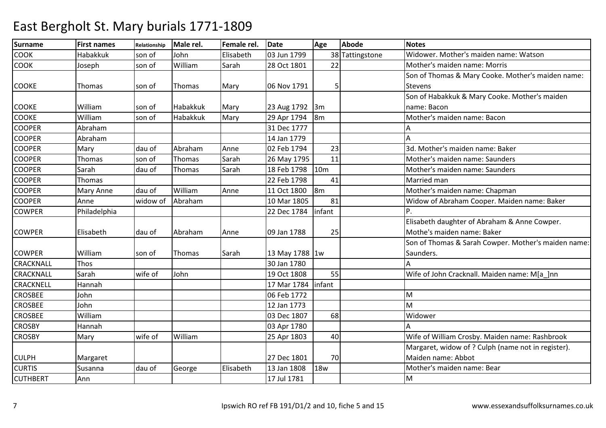| <b>Surname</b>   | <b>First names</b> | Relationship | Male rel. | Female rel. | <b>Date</b>    | Age             | <b>Abode</b>    | <b>Notes</b>                                        |
|------------------|--------------------|--------------|-----------|-------------|----------------|-----------------|-----------------|-----------------------------------------------------|
| COOK             | Habakkuk           | son of       | John      | Elisabeth   | 03 Jun 1799    |                 | 38 Tattingstone | Widower. Mother's maiden name: Watson               |
| <b>COOK</b>      | Joseph             | son of       | William   | Sarah       | 28 Oct 1801    | 22              |                 | Mother's maiden name: Morris                        |
|                  |                    |              |           |             |                |                 |                 | Son of Thomas & Mary Cooke. Mother's maiden name:   |
| <b>COOKE</b>     | Thomas             | son of       | Thomas    | Mary        | 06 Nov 1791    |                 |                 | Stevens                                             |
|                  |                    |              |           |             |                |                 |                 | Son of Habakkuk & Mary Cooke. Mother's maiden       |
| <b>COOKE</b>     | William            | son of       | Habakkuk  | Mary        | 23 Aug 1792    | $\mathsf{3m}$   |                 | name: Bacon                                         |
| <b>COOKE</b>     | William            | son of       | Habakkuk  | Mary        | 29 Apr 1794    | $\mathsf{I}$ 8m |                 | Mother's maiden name: Bacon                         |
| <b>COOPER</b>    | Abraham            |              |           |             | 31 Dec 1777    |                 |                 |                                                     |
| <b>COOPER</b>    | Abraham            |              |           |             | 14 Jan 1779    |                 |                 | Δ                                                   |
| <b>COOPER</b>    | Mary               | dau of       | Abraham   | Anne        | 02 Feb 1794    | 23              |                 | 3d. Mother's maiden name: Baker                     |
| <b>COOPER</b>    | Thomas             | son of       | Thomas    | Sarah       | 26 May 1795    | 11              |                 | Mother's maiden name: Saunders                      |
| <b>COOPER</b>    | Sarah              | dau of       | Thomas    | Sarah       | 18 Feb 1798    | 10 <sub>m</sub> |                 | Mother's maiden name: Saunders                      |
| <b>COOPER</b>    | Thomas             |              |           |             | 22 Feb 1798    | 41              |                 | Married man                                         |
| <b>COOPER</b>    | <b>Mary Anne</b>   | dau of       | William   | Anne        | 11 Oct 1800    | $\mathsf{I}$ 8m |                 | Mother's maiden name: Chapman                       |
| <b>COOPER</b>    | Anne               | widow of     | Abraham   |             | 10 Mar 1805    | 81              |                 | Widow of Abraham Cooper. Maiden name: Baker         |
| <b>COWPER</b>    | Philadelphia       |              |           |             | 22 Dec 1784    | infant          |                 |                                                     |
|                  |                    |              |           |             |                |                 |                 | Elisabeth daughter of Abraham & Anne Cowper.        |
| <b>COWPER</b>    | Elisabeth          | dau of       | Abraham   | Anne        | 09 Jan 1788    | 25              |                 | Mothe's maiden name: Baker                          |
|                  |                    |              |           |             |                |                 |                 | Son of Thomas & Sarah Cowper. Mother's maiden name: |
| <b>COWPER</b>    | William            | son of       | Thomas    | Sarah       | 13 May 1788 1w |                 |                 | Saunders.                                           |
| <b>CRACKNALL</b> | Thos               |              |           |             | 30 Jan 1780    |                 |                 |                                                     |
| CRACKNALL        | Sarah              | wife of      | John      |             | 19 Oct 1808    | 55              |                 | Wife of John Cracknall. Maiden name: M[a ]nn        |
| CRACKNELL        | Hannah             |              |           |             | 17 Mar 1784    | infant          |                 |                                                     |
| <b>CROSBEE</b>   | John               |              |           |             | 06 Feb 1772    |                 |                 | M                                                   |
| <b>CROSBEE</b>   | John               |              |           |             | 12 Jan 1773    |                 |                 | M                                                   |
| <b>CROSBEE</b>   | William            |              |           |             | 03 Dec 1807    | 68              |                 | Widower                                             |
| <b>CROSBY</b>    | Hannah             |              |           |             | 03 Apr 1780    |                 |                 |                                                     |
| <b>CROSBY</b>    | Mary               | wife of      | William   |             | 25 Apr 1803    | 40              |                 | Wife of William Crosby. Maiden name: Rashbrook      |
|                  |                    |              |           |             |                |                 |                 | Margaret, widow of ? Culph (name not in register).  |
| <b>CULPH</b>     | Margaret           |              |           |             | 27 Dec 1801    | 70              |                 | Maiden name: Abbot                                  |
| <b>CURTIS</b>    | Susanna            | dau of       | George    | Elisabeth   | 13 Jan 1808    | <b>18w</b>      |                 | Mother's maiden name: Bear                          |
| <b>CUTHBERT</b>  | Ann                |              |           |             | 17 Jul 1781    |                 |                 | M                                                   |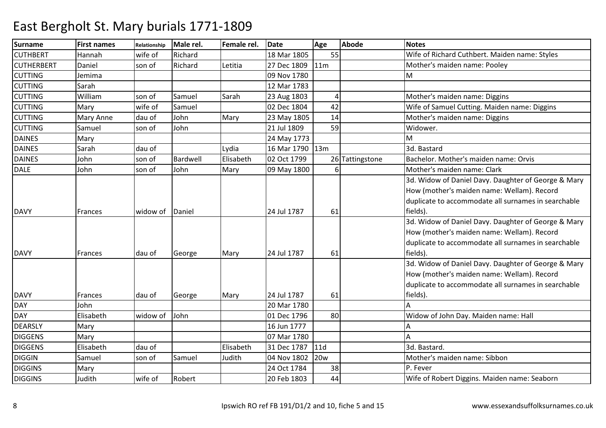| <b>Surname</b>    | <b>First names</b> | Relationship | Male rel. | Female rel. | <b>Date</b>       | Age        | <b>Abode</b>    | <b>Notes</b>                                        |
|-------------------|--------------------|--------------|-----------|-------------|-------------------|------------|-----------------|-----------------------------------------------------|
| <b>CUTHBERT</b>   | Hannah             | wife of      | Richard   |             | 18 Mar 1805       | 55         |                 | Wife of Richard Cuthbert. Maiden name: Styles       |
| <b>CUTHERBERT</b> | Daniel             | son of       | Richard   | Letitia     | 27 Dec 1809       | 11m        |                 | Mother's maiden name: Pooley                        |
| <b>CUTTING</b>    | Jemima             |              |           |             | 09 Nov 1780       |            |                 | M                                                   |
| <b>CUTTING</b>    | Sarah              |              |           |             | 12 Mar 1783       |            |                 |                                                     |
| <b>CUTTING</b>    | William            | son of       | Samuel    | Sarah       | 23 Aug 1803       | 4          |                 | Mother's maiden name: Diggins                       |
| <b>CUTTING</b>    | Mary               | wife of      | Samuel    |             | 02 Dec 1804       | 42         |                 | Wife of Samuel Cutting. Maiden name: Diggins        |
| <b>CUTTING</b>    | <b>Mary Anne</b>   | dau of       | John      | Mary        | 23 May 1805       | 14         |                 | Mother's maiden name: Diggins                       |
| <b>CUTTING</b>    | Samuel             | son of       | John      |             | 21 Jul 1809       | 59         |                 | Widower.                                            |
| <b>DAINES</b>     | Mary               |              |           |             | 24 May 1773       |            |                 | M                                                   |
| <b>DAINES</b>     | Sarah              | dau of       |           | Lydia       | 16 Mar 1790   13m |            |                 | 3d. Bastard                                         |
| <b>DAINES</b>     | John               | son of       | Bardwell  | Elisabeth   | 02 Oct 1799       |            | 26 Tattingstone | Bachelor. Mother's maiden name: Orvis               |
| <b>DALE</b>       | John               | son of       | John      | Mary        | 09 May 1800       | 6          |                 | Mother's maiden name: Clark                         |
|                   |                    |              |           |             |                   |            |                 | 3d. Widow of Daniel Davy. Daughter of George & Mary |
|                   |                    |              |           |             |                   |            |                 | How (mother's maiden name: Wellam). Record          |
|                   |                    |              |           |             |                   |            |                 | duplicate to accommodate all surnames in searchable |
| <b>DAVY</b>       | Frances            | widow of     | Daniel    |             | 24 Jul 1787       | 61         |                 | fields).                                            |
|                   |                    |              |           |             |                   |            |                 | 3d. Widow of Daniel Davy. Daughter of George & Mary |
|                   |                    |              |           |             |                   |            |                 | How (mother's maiden name: Wellam). Record          |
|                   |                    |              |           |             |                   |            |                 | duplicate to accommodate all surnames in searchable |
| <b>DAVY</b>       | Frances            | dau of       | George    | Mary        | 24 Jul 1787       | 61         |                 | fields).                                            |
|                   |                    |              |           |             |                   |            |                 | 3d. Widow of Daniel Davy. Daughter of George & Mary |
|                   |                    |              |           |             |                   |            |                 | How (mother's maiden name: Wellam). Record          |
|                   |                    |              |           |             |                   |            |                 | duplicate to accommodate all surnames in searchable |
| <b>DAVY</b>       | Frances            | dau of       | George    | Mary        | 24 Jul 1787       | 61         |                 | fields).                                            |
| <b>DAY</b>        | John               |              |           |             | 20 Mar 1780       |            |                 |                                                     |
| <b>DAY</b>        | Elisabeth          | widow of     | John      |             | 01 Dec 1796       | 80         |                 | Widow of John Day. Maiden name: Hall                |
| <b>DEARSLY</b>    | Mary               |              |           |             | 16 Jun 1777       |            |                 |                                                     |
| <b>DIGGENS</b>    | Mary               |              |           |             | 07 Mar 1780       |            |                 |                                                     |
| <b>DIGGENS</b>    | Elisabeth          | dau of       |           | Elisabeth   | 31 Dec 1787       | 11d        |                 | 3d. Bastard.                                        |
| <b>DIGGIN</b>     | Samuel             | son of       | Samuel    | Judith      | 04 Nov 1802       | <b>20w</b> |                 | Mother's maiden name: Sibbon                        |
| <b>DIGGINS</b>    | Mary               |              |           |             | 24 Oct 1784       | 38         |                 | P. Fever                                            |
| <b>DIGGINS</b>    | Judith             | wife of      | Robert    |             | 20 Feb 1803       | 44         |                 | Wife of Robert Diggins. Maiden name: Seaborn        |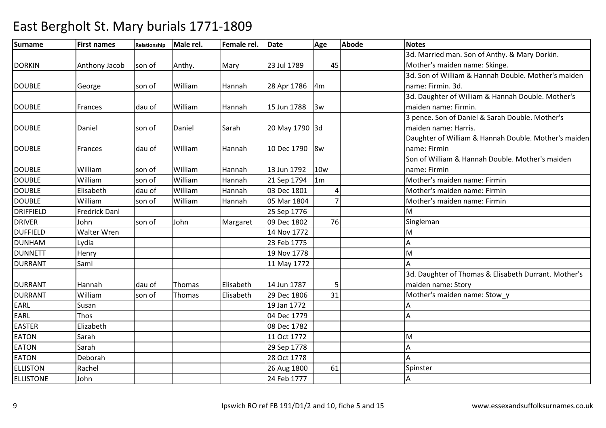| <b>Surname</b>   | <b>First names</b> | Relationship | Male rel.     | Female rel. | <b>Date</b>    | Age             | <b>Abode</b> | <b>Notes</b>                                         |
|------------------|--------------------|--------------|---------------|-------------|----------------|-----------------|--------------|------------------------------------------------------|
|                  |                    |              |               |             |                |                 |              | 3d. Married man. Son of Anthy. & Mary Dorkin.        |
| <b>DORKIN</b>    | Anthony Jacob      | son of       | Anthy.        | Mary        | 23 Jul 1789    | 45              |              | Mother's maiden name: Skinge.                        |
|                  |                    |              |               |             |                |                 |              | 3d. Son of William & Hannah Double. Mother's maiden  |
| <b>DOUBLE</b>    | George             | son of       | William       | Hannah      | 28 Apr 1786    | 4m              |              | name: Firmin. 3d.                                    |
|                  |                    |              |               |             |                |                 |              | 3d. Daughter of William & Hannah Double. Mother's    |
| <b>DOUBLE</b>    | Frances            | dau of       | William       | Hannah      | 15 Jun 1788    | 3w              |              | maiden name: Firmin.                                 |
|                  |                    |              |               |             |                |                 |              | 3 pence. Son of Daniel & Sarah Double. Mother's      |
| <b>DOUBLE</b>    | Daniel             | son of       | Daniel        | Sarah       | 20 May 1790 3d |                 |              | maiden name: Harris.                                 |
|                  |                    |              |               |             |                |                 |              | Daughter of William & Hannah Double. Mother's maiden |
| <b>DOUBLE</b>    | Frances            | dau of       | William       | Hannah      | 10 Dec 1790    | 8w              |              | name: Firmin                                         |
|                  |                    |              |               |             |                |                 |              | Son of William & Hannah Double. Mother's maiden      |
| <b>DOUBLE</b>    | William            | son of       | William       | Hannah      | 13 Jun 1792    | 10 <sub>w</sub> |              | name: Firmin                                         |
| <b>DOUBLE</b>    | William            | son of       | William       | Hannah      | 21 Sep 1794    | 1m              |              | Mother's maiden name: Firmin                         |
| <b>DOUBLE</b>    | Elisabeth          | dau of       | William       | Hannah      | 03 Dec 1801    | 4               |              | Mother's maiden name: Firmin                         |
| <b>DOUBLE</b>    | William            | son of       | William       | Hannah      | 05 Mar 1804    | $\overline{7}$  |              | Mother's maiden name: Firmin                         |
| <b>DRIFFIELD</b> | Fredrick Danl      |              |               |             | 25 Sep 1776    |                 |              | м                                                    |
| <b>DRIVER</b>    | John               | son of       | John          | Margaret    | 09 Dec 1802    | 76              |              | Singleman                                            |
| <b>DUFFIELD</b>  | Walter Wren        |              |               |             | 14 Nov 1772    |                 |              | M                                                    |
| <b>DUNHAM</b>    | Lydia              |              |               |             | 23 Feb 1775    |                 |              | А                                                    |
| <b>DUNNETT</b>   | Henry              |              |               |             | 19 Nov 1778    |                 |              | M                                                    |
| <b>DURRANT</b>   | Saml               |              |               |             | 11 May 1772    |                 |              | A                                                    |
|                  |                    |              |               |             |                |                 |              | 3d. Daughter of Thomas & Elisabeth Durrant. Mother's |
| <b>DURRANT</b>   | Hannah             | dau of       | <b>Thomas</b> | Elisabeth   | 14 Jun 1787    |                 |              | maiden name: Story                                   |
| <b>DURRANT</b>   | William            | son of       | Thomas        | Elisabeth   | 29 Dec 1806    | 31              |              | Mother's maiden name: Stow_y                         |
| EARL             | Susan              |              |               |             | 19 Jan 1772    |                 |              |                                                      |
| <b>EARL</b>      | Thos               |              |               |             | 04 Dec 1779    |                 |              | А                                                    |
| <b>EASTER</b>    | Elizabeth          |              |               |             | 08 Dec 1782    |                 |              |                                                      |
| <b>EATON</b>     | Sarah              |              |               |             | 11 Oct 1772    |                 |              | M                                                    |
| <b>EATON</b>     | Sarah              |              |               |             | 29 Sep 1778    |                 |              | А                                                    |
| <b>EATON</b>     | Deborah            |              |               |             | 28 Oct 1778    |                 |              | A                                                    |
| <b>ELLISTON</b>  | Rachel             |              |               |             | 26 Aug 1800    | 61              |              | Spinster                                             |
| <b>ELLISTONE</b> | John               |              |               |             | 24 Feb 1777    |                 |              | А                                                    |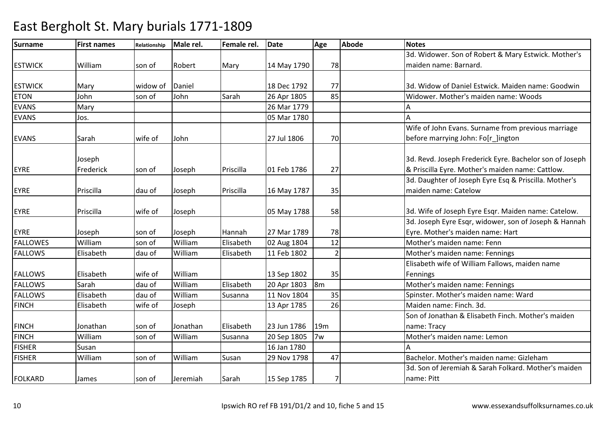| <b>Surname</b>  | <b>First names</b> | Relationship | Male rel. | Female rel. | <b>Date</b> | Age             | <b>Abode</b> | <b>Notes</b>                                            |
|-----------------|--------------------|--------------|-----------|-------------|-------------|-----------------|--------------|---------------------------------------------------------|
|                 |                    |              |           |             |             |                 |              | 3d. Widower. Son of Robert & Mary Estwick. Mother's     |
| <b>ESTWICK</b>  | William            | son of       | Robert    | Mary        | 14 May 1790 | 78              |              | maiden name: Barnard.                                   |
|                 |                    |              |           |             |             |                 |              |                                                         |
| <b>ESTWICK</b>  | Mary               | widow of     | Daniel    |             | 18 Dec 1792 | 77              |              | 3d. Widow of Daniel Estwick. Maiden name: Goodwin       |
| <b>ETON</b>     | John               | son of       | John      | Sarah       | 26 Apr 1805 | 85              |              | Widower. Mother's maiden name: Woods                    |
| <b>EVANS</b>    | Mary               |              |           |             | 26 Mar 1779 |                 |              |                                                         |
| <b>EVANS</b>    | Jos.               |              |           |             | 05 Mar 1780 |                 |              | A                                                       |
|                 |                    |              |           |             |             |                 |              | Wife of John Evans. Surname from previous marriage      |
| <b>EVANS</b>    | Sarah              | wife of      | John      |             | 27 Jul 1806 | 70              |              | before marrying John: Fo[r_]ington                      |
|                 |                    |              |           |             |             |                 |              |                                                         |
|                 | Joseph             |              |           |             |             |                 |              | 3d. Revd. Joseph Frederick Eyre. Bachelor son of Joseph |
| <b>EYRE</b>     | Frederick          | son of       | Joseph    | Priscilla   | 01 Feb 1786 | 27              |              | & Priscilla Eyre. Mother's maiden name: Cattlow.        |
|                 |                    |              |           |             |             |                 |              | 3d. Daughter of Joseph Eyre Esq & Priscilla. Mother's   |
| <b>EYRE</b>     | Priscilla          | dau of       | Joseph    | Priscilla   | 16 May 1787 | 35              |              | maiden name: Catelow                                    |
| <b>EYRE</b>     | Priscilla          | wife of      | Joseph    |             | 05 May 1788 | 58              |              | 3d. Wife of Joseph Eyre Esqr. Maiden name: Catelow.     |
|                 |                    |              |           |             |             |                 |              | 3d. Joseph Eyre Esqr, widower, son of Joseph & Hannah   |
| <b>EYRE</b>     | Joseph             | son of       | Joseph    | Hannah      | 27 Mar 1789 | 78              |              | Eyre. Mother's maiden name: Hart                        |
| <b>FALLOWES</b> | William            | son of       | William   | Elisabeth   | 02 Aug 1804 | 12              |              | Mother's maiden name: Fenn                              |
| <b>FALLOWS</b>  | Elisabeth          | dau of       | William   | Elisabeth   | 11 Feb 1802 | $\overline{2}$  |              | Mother's maiden name: Fennings                          |
|                 |                    |              |           |             |             |                 |              | Elisabeth wife of William Fallows, maiden name          |
| <b>FALLOWS</b>  | Elisabeth          | wife of      | William   |             | 13 Sep 1802 | 35              |              | Fennings                                                |
| <b>FALLOWS</b>  | Sarah              | dau of       | William   | Elisabeth   | 20 Apr 1803 | 8 <sub>m</sub>  |              | Mother's maiden name: Fennings                          |
| <b>FALLOWS</b>  | Elisabeth          | dau of       | William   | Susanna     | 11 Nov 1804 | 35              |              | Spinster. Mother's maiden name: Ward                    |
| <b>FINCH</b>    | Elisabeth          | wife of      | Joseph    |             | 13 Apr 1785 | 26              |              | Maiden name: Finch. 3d.                                 |
|                 |                    |              |           |             |             |                 |              | Son of Jonathan & Elisabeth Finch. Mother's maiden      |
| <b>FINCH</b>    | Jonathan           | son of       | Jonathan  | Elisabeth   | 23 Jun 1786 | 19 <sub>m</sub> |              | name: Tracy                                             |
| <b>FINCH</b>    | William            | son of       | William   | Susanna     | 20 Sep 1805 | 7w              |              | Mother's maiden name: Lemon                             |
| <b>FISHER</b>   | Susan              |              |           |             | 16 Jan 1780 |                 |              |                                                         |
| <b>FISHER</b>   | William            | son of       | William   | Susan       | 29 Nov 1798 | 47              |              | Bachelor. Mother's maiden name: Gizleham                |
|                 |                    |              |           |             |             |                 |              | 3d. Son of Jeremiah & Sarah Folkard. Mother's maiden    |
| <b>FOLKARD</b>  | James              | son of       | Jeremiah  | Sarah       | 15 Sep 1785 | 7               |              | name: Pitt                                              |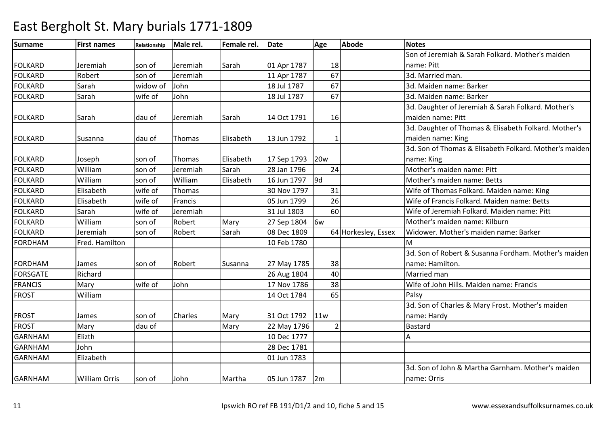| <b>Surname</b>  | <b>First names</b>   | Relationship | Male rel. | Female rel. | <b>Date</b> | Age             | <b>Abode</b>        | <b>Notes</b>                                           |
|-----------------|----------------------|--------------|-----------|-------------|-------------|-----------------|---------------------|--------------------------------------------------------|
|                 |                      |              |           |             |             |                 |                     | Son of Jeremiah & Sarah Folkard. Mother's maiden       |
| <b>FOLKARD</b>  | Jeremiah             | son of       | Jeremiah  | Sarah       | 01 Apr 1787 | 18              |                     | name: Pitt                                             |
| <b>FOLKARD</b>  | Robert               | son of       | Jeremiah  |             | 11 Apr 1787 | 67              |                     | 3d. Married man.                                       |
| <b>FOLKARD</b>  | Sarah                | widow of     | John      |             | 18 Jul 1787 | 67              |                     | 3d. Maiden name: Barker                                |
| <b>FOLKARD</b>  | Sarah                | wife of      | John      |             | 18 Jul 1787 | 67              |                     | 3d. Maiden name: Barker                                |
|                 |                      |              |           |             |             |                 |                     | 3d. Daughter of Jeremiah & Sarah Folkard. Mother's     |
| <b>FOLKARD</b>  | Sarah                | dau of       | Jeremiah  | Sarah       | 14 Oct 1791 | 16              |                     | maiden name: Pitt                                      |
|                 |                      |              |           |             |             |                 |                     | 3d. Daughter of Thomas & Elisabeth Folkard. Mother's   |
| <b>FOLKARD</b>  | Susanna              | dau of       | Thomas    | Elisabeth   | 13 Jun 1792 |                 |                     | maiden name: King                                      |
|                 |                      |              |           |             |             |                 |                     | 3d. Son of Thomas & Elisabeth Folkard. Mother's maiden |
| <b>FOLKARD</b>  | Joseph               | son of       | Thomas    | Elisabeth   | 17 Sep 1793 | 20 <sub>w</sub> |                     | name: King                                             |
| <b>FOLKARD</b>  | William              | son of       | Jeremiah  | Sarah       | 28 Jan 1796 | 24              |                     | Mother's maiden name: Pitt                             |
| <b>FOLKARD</b>  | William              | son of       | William   | Elisabeth   | 16 Jun 1797 | 9d              |                     | Mother's maiden name: Betts                            |
| <b>FOLKARD</b>  | Elisabeth            | wife of      | Thomas    |             | 30 Nov 1797 | 31              |                     | Wife of Thomas Folkard. Maiden name: King              |
| <b>FOLKARD</b>  | Elisabeth            | wife of      | Francis   |             | 05 Jun 1799 | 26              |                     | Wife of Francis Folkard, Maiden name: Betts            |
| <b>FOLKARD</b>  | Sarah                | wife of      | Jeremiah  |             | 31 Jul 1803 | 60              |                     | Wife of Jeremiah Folkard. Maiden name: Pitt            |
| <b>FOLKARD</b>  | William              | son of       | Robert    | Mary        | 27 Sep 1804 | 6w              |                     | Mother's maiden name: Kilburn                          |
| <b>FOLKARD</b>  | Jeremiah             | son of       | Robert    | Sarah       | 08 Dec 1809 |                 | 64 Horkesley, Essex | Widower. Mother's maiden name: Barker                  |
| <b>FORDHAM</b>  | Fred. Hamilton       |              |           |             | 10 Feb 1780 |                 |                     | M                                                      |
|                 |                      |              |           |             |             |                 |                     | 3d. Son of Robert & Susanna Fordham. Mother's maiden   |
| <b>FORDHAM</b>  | James                | son of       | Robert    | Susanna     | 27 May 1785 | 38              |                     | name: Hamilton.                                        |
| <b>FORSGATE</b> | Richard              |              |           |             | 26 Aug 1804 | 40              |                     | Married man                                            |
| <b>FRANCIS</b>  | Mary                 | wife of      | John      |             | 17 Nov 1786 | 38              |                     | Wife of John Hills. Maiden name: Francis               |
| <b>FROST</b>    | William              |              |           |             | 14 Oct 1784 | 65              |                     | Palsy                                                  |
|                 |                      |              |           |             |             |                 |                     | 3d. Son of Charles & Mary Frost. Mother's maiden       |
| <b>FROST</b>    | James                | son of       | Charles   | Mary        | 31 Oct 1792 | 11w             |                     | name: Hardy                                            |
| <b>FROST</b>    | Mary                 | dau of       |           | Mary        | 22 May 1796 |                 |                     | <b>Bastard</b>                                         |
| <b>GARNHAM</b>  | Elizth               |              |           |             | 10 Dec 1777 |                 |                     | А                                                      |
| <b>GARNHAM</b>  | John                 |              |           |             | 28 Dec 1781 |                 |                     |                                                        |
| <b>GARNHAM</b>  | Elizabeth            |              |           |             | 01 Jun 1783 |                 |                     |                                                        |
|                 |                      |              |           |             |             |                 |                     | 3d. Son of John & Martha Garnham. Mother's maiden      |
| <b>GARNHAM</b>  | <b>William Orris</b> | son of       | John      | Martha      | 05 Jun 1787 | 2m              |                     | name: Orris                                            |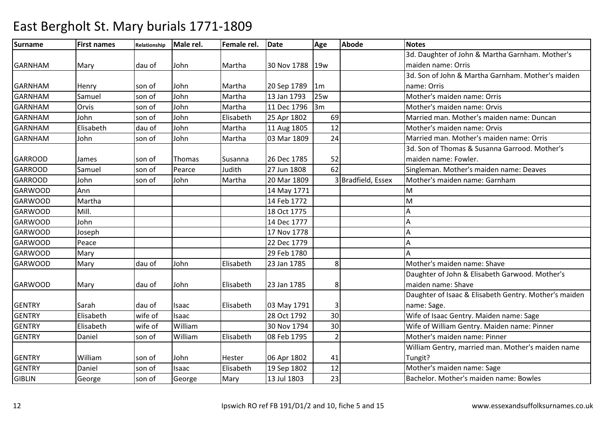| <b>Surname</b> | <b>First names</b> | Relationship | Male rel. | Female rel. | <b>Date</b> | Age            | <b>Abode</b>       | <b>Notes</b>                                          |
|----------------|--------------------|--------------|-----------|-------------|-------------|----------------|--------------------|-------------------------------------------------------|
|                |                    |              |           |             |             |                |                    | 3d. Daughter of John & Martha Garnham. Mother's       |
| <b>GARNHAM</b> | Mary               | dau of       | John      | Martha      | 30 Nov 1788 | 19w            |                    | maiden name: Orris                                    |
|                |                    |              |           |             |             |                |                    | 3d. Son of John & Martha Garnham. Mother's maiden     |
| <b>GARNHAM</b> | Henry              | son of       | John      | Martha      | 20 Sep 1789 | 1m             |                    | name: Orris                                           |
| <b>GARNHAM</b> | Samuel             | son of       | John      | Martha      | 13 Jan 1793 | 25w            |                    | Mother's maiden name: Orris                           |
| <b>GARNHAM</b> | Orvis              | son of       | John      | Martha      | 11 Dec 1796 | 3m             |                    | Mother's maiden name: Orvis                           |
| <b>GARNHAM</b> | John               | son of       | John      | Elisabeth   | 25 Apr 1802 | 69             |                    | Married man. Mother's maiden name: Duncan             |
| <b>GARNHAM</b> | Elisabeth          | dau of       | John      | Martha      | 11 Aug 1805 | 12             |                    | Mother's maiden name: Orvis                           |
| <b>GARNHAM</b> | John               | son of       | John      | Martha      | 03 Mar 1809 | 24             |                    | Married man. Mother's maiden name: Orris              |
|                |                    |              |           |             |             |                |                    | 3d. Son of Thomas & Susanna Garrood. Mother's         |
| <b>GARROOD</b> | James              | son of       | Thomas    | Susanna     | 26 Dec 1785 | 52             |                    | maiden name: Fowler.                                  |
| <b>GARROOD</b> | Samuel             | son of       | Pearce    | Judith      | 27 Jun 1808 | 62             |                    | Singleman. Mother's maiden name: Deaves               |
| <b>GARROOD</b> | John               | son of       | John      | Martha      | 20 Mar 1809 |                | 3 Bradfield, Essex | Mother's maiden name: Garnham                         |
| <b>GARWOOD</b> | Ann                |              |           |             | 14 May 1771 |                |                    | M                                                     |
| <b>GARWOOD</b> | Martha             |              |           |             | 14 Feb 1772 |                |                    | M                                                     |
| GARWOOD        | Mill.              |              |           |             | 18 Oct 1775 |                |                    | Α                                                     |
| <b>GARWOOD</b> | John               |              |           |             | 14 Dec 1777 |                |                    | Α                                                     |
| <b>GARWOOD</b> | Joseph             |              |           |             | 17 Nov 1778 |                |                    | Α                                                     |
| <b>GARWOOD</b> | Peace              |              |           |             | 22 Dec 1779 |                |                    | А                                                     |
| <b>GARWOOD</b> | Mary               |              |           |             | 29 Feb 1780 |                |                    |                                                       |
| <b>GARWOOD</b> | Mary               | dau of       | John      | Elisabeth   | 23 Jan 1785 | 8 <sup>1</sup> |                    | Mother's maiden name: Shave                           |
|                |                    |              |           |             |             |                |                    | Daughter of John & Elisabeth Garwood. Mother's        |
| <b>GARWOOD</b> | Mary               | dau of       | John      | Elisabeth   | 23 Jan 1785 | 8              |                    | maiden name: Shave                                    |
|                |                    |              |           |             |             |                |                    | Daughter of Isaac & Elisabeth Gentry. Mother's maiden |
| <b>GENTRY</b>  | Sarah              | dau of       | Isaac     | Elisabeth   | 03 May 1791 |                |                    | name: Sage.                                           |
| <b>GENTRY</b>  | Elisabeth          | wife of      | Isaac     |             | 28 Oct 1792 | 30             |                    | Wife of Isaac Gentry. Maiden name: Sage               |
| <b>GENTRY</b>  | Elisabeth          | wife of      | William   |             | 30 Nov 1794 | 30             |                    | Wife of William Gentry. Maiden name: Pinner           |
| <b>GENTRY</b>  | Daniel             | son of       | William   | Elisabeth   | 08 Feb 1795 | $\overline{2}$ |                    | Mother's maiden name: Pinner                          |
|                |                    |              |           |             |             |                |                    | William Gentry, married man. Mother's maiden name     |
| <b>GENTRY</b>  | William            | son of       | John      | Hester      | 06 Apr 1802 | 41             |                    | Tungit?                                               |
| <b>GENTRY</b>  | Daniel             | son of       | Isaac     | Elisabeth   | 19 Sep 1802 | 12             |                    | Mother's maiden name: Sage                            |
| <b>GIBLIN</b>  | George             | son of       | George    | Mary        | 13 Jul 1803 | 23             |                    | Bachelor. Mother's maiden name: Bowles                |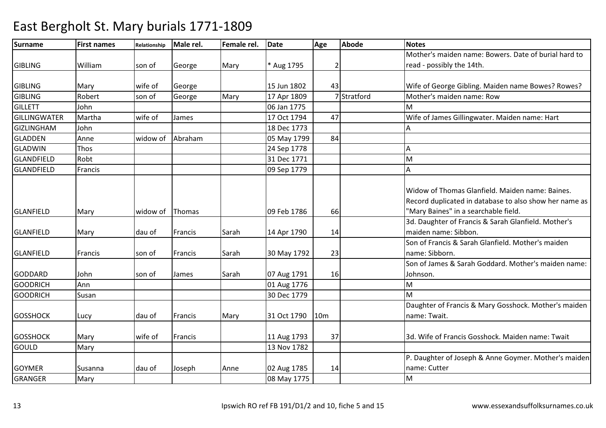| <b>Surname</b>      | <b>First names</b> | <b>Relationship</b> | Male rel. | Female rel. | <b>Date</b> | Age             | <b>Abode</b> | <b>Notes</b>                                                                                                                                      |
|---------------------|--------------------|---------------------|-----------|-------------|-------------|-----------------|--------------|---------------------------------------------------------------------------------------------------------------------------------------------------|
|                     |                    |                     |           |             |             |                 |              | Mother's maiden name: Bowers. Date of burial hard to                                                                                              |
| <b>GIBLING</b>      | William            | son of              | George    | Mary        | * Aug 1795  |                 |              | read - possibly the 14th.                                                                                                                         |
|                     |                    |                     |           |             |             |                 |              |                                                                                                                                                   |
| <b>GIBLING</b>      | Mary               | wife of             | George    |             | 15 Jun 1802 | 43              |              | Wife of George Gibling. Maiden name Bowes? Rowes?                                                                                                 |
| <b>GIBLING</b>      | Robert             | son of              | George    | Mary        | 17 Apr 1809 |                 | 7 Stratford  | Mother's maiden name: Row                                                                                                                         |
| <b>GILLETT</b>      | John               |                     |           |             | 06 Jan 1775 |                 |              | M                                                                                                                                                 |
| <b>GILLINGWATER</b> | Martha             | wife of             | James     |             | 17 Oct 1794 | 47              |              | Wife of James Gillingwater. Maiden name: Hart                                                                                                     |
| <b>GIZLINGHAM</b>   | John               |                     |           |             | 18 Dec 1773 |                 |              |                                                                                                                                                   |
| <b>GLADDEN</b>      | Anne               | widow of            | Abraham   |             | 05 May 1799 | 84              |              |                                                                                                                                                   |
| <b>GLADWIN</b>      | <b>Thos</b>        |                     |           |             | 24 Sep 1778 |                 |              | Α                                                                                                                                                 |
| <b>GLANDFIELD</b>   | Robt               |                     |           |             | 31 Dec 1771 |                 |              | M                                                                                                                                                 |
| <b>GLANDFIELD</b>   | Francis            |                     |           |             | 09 Sep 1779 |                 |              | А                                                                                                                                                 |
| GLANFIELD           | Mary               | widow of            | Thomas    |             | 09 Feb 1786 | 66              |              | Widow of Thomas Glanfield. Maiden name: Baines.<br>Record duplicated in database to also show her name as<br>'Mary Baines" in a searchable field. |
|                     |                    |                     |           |             |             |                 |              | 3d. Daughter of Francis & Sarah Glanfield. Mother's                                                                                               |
| GLANFIELD           | Mary               | dau of              | Francis   | Sarah       | 14 Apr 1790 | 14              |              | maiden name: Sibbon.                                                                                                                              |
| <b>GLANFIELD</b>    | Francis            | son of              | Francis   | Sarah       | 30 May 1792 | 23              |              | Son of Francis & Sarah Glanfield. Mother's maiden<br>name: Sibborn.                                                                               |
|                     |                    |                     |           |             |             |                 |              | Son of James & Sarah Goddard. Mother's maiden name:                                                                                               |
| <b>GODDARD</b>      | John               | son of              | James     | Sarah       | 07 Aug 1791 | 16              |              | Johnson.                                                                                                                                          |
| <b>GOODRICH</b>     | Ann                |                     |           |             | 01 Aug 1776 |                 |              | M                                                                                                                                                 |
| <b>GOODRICH</b>     | Susan              |                     |           |             | 30 Dec 1779 |                 |              | м                                                                                                                                                 |
| <b>GOSSHOCK</b>     | Lucy               | dau of              | Francis   | Mary        | 31 Oct 1790 | 10 <sub>m</sub> |              | Daughter of Francis & Mary Gosshock. Mother's maiden<br>name: Twait.                                                                              |
| <b>GOSSHOCK</b>     | Mary               | wife of             | Francis   |             | 11 Aug 1793 | 37              |              | 3d. Wife of Francis Gosshock. Maiden name: Twait                                                                                                  |
| <b>GOULD</b>        | Mary               |                     |           |             | 13 Nov 1782 |                 |              |                                                                                                                                                   |
| <b>GOYMER</b>       | Susanna            | dau of              | Joseph    | Anne        | 02 Aug 1785 | 14              |              | P. Daughter of Joseph & Anne Goymer. Mother's maiden<br>name: Cutter                                                                              |
| <b>GRANGER</b>      | Mary               |                     |           |             | 08 May 1775 |                 |              | M                                                                                                                                                 |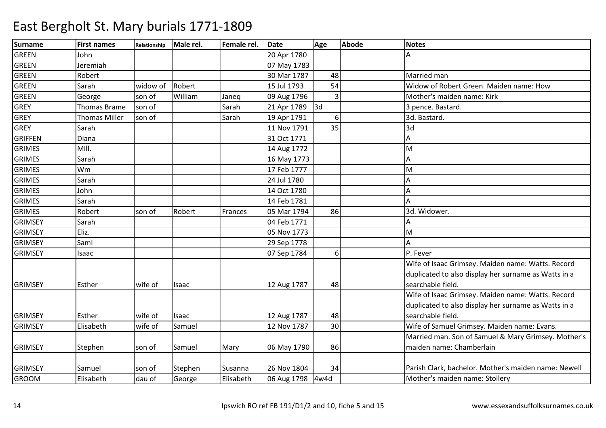| <b>Surname</b> | <b>First names</b>  | Relationship | Male rel. | Female rel. | <b>Date</b> | Age            | <b>Abode</b> | <b>Notes</b>                                         |
|----------------|---------------------|--------------|-----------|-------------|-------------|----------------|--------------|------------------------------------------------------|
| <b>GREEN</b>   | lohn                |              |           |             | 20 Apr 1780 |                |              | А                                                    |
| <b>GREEN</b>   | Jeremiah            |              |           |             | 07 May 1783 |                |              |                                                      |
| GREEN          | Robert              |              |           |             | 30 Mar 1787 | 48             |              | Married man                                          |
| <b>GREEN</b>   | Sarah               | widow of     | Robert    |             | 15 Jul 1793 | 54             |              | Widow of Robert Green. Maiden name: How              |
| <b>GREEN</b>   | George              | son of       | William   | Janeq       | 09 Aug 1796 | 3              |              | Mother's maiden name: Kirk                           |
| <b>GREY</b>    | <b>Thomas Brame</b> | son of       |           | Sarah       | 21 Apr 1789 | 3d             |              | 3 pence. Bastard.                                    |
| <b>GREY</b>    | Thomas Miller       | son of       |           | Sarah       | 19 Apr 1791 | 6 <sup>1</sup> |              | 3d. Bastard.                                         |
| <b>GREY</b>    | Sarah               |              |           |             | 11 Nov 1791 | 35             |              | 3d                                                   |
| <b>GRIFFEN</b> | Diana               |              |           |             | 31 Oct 1771 |                |              | $\overline{A}$                                       |
| <b>GRIMES</b>  | Mill.               |              |           |             | 14 Aug 1772 |                |              | M                                                    |
| <b>GRIMES</b>  | Sarah               |              |           |             | 16 May 1773 |                |              | A                                                    |
| <b>GRIMES</b>  | Wm                  |              |           |             | 17 Feb 1777 |                |              | M                                                    |
| <b>GRIMES</b>  | Sarah               |              |           |             | 24 Jul 1780 |                |              | A                                                    |
| <b>GRIMES</b>  | John                |              |           |             | 14 Oct 1780 |                |              | А                                                    |
| <b>GRIMES</b>  | Sarah               |              |           |             | 14 Feb 1781 |                |              | A                                                    |
| <b>GRIMES</b>  | Robert              | son of       | Robert    | Frances     | 05 Mar 1794 | 86             |              | 3d. Widower.                                         |
| <b>GRIMSEY</b> | Sarah               |              |           |             | 04 Feb 1771 |                |              |                                                      |
| <b>GRIMSEY</b> | Eliz.               |              |           |             | 05 Nov 1773 |                |              | M                                                    |
| <b>GRIMSEY</b> | Saml                |              |           |             | 29 Sep 1778 |                |              | А                                                    |
| <b>GRIMSEY</b> | Isaac               |              |           |             | 07 Sep 1784 | $6 \mid$       |              | P. Fever                                             |
|                |                     |              |           |             |             |                |              | Wife of Isaac Grimsey. Maiden name: Watts. Record    |
|                |                     |              |           |             |             |                |              | duplicated to also display her surname as Watts in a |
| <b>GRIMSEY</b> | Esther              | wife of      | Isaac     |             | 12 Aug 1787 | 48             |              | searchable field.                                    |
|                |                     |              |           |             |             |                |              | Wife of Isaac Grimsey. Maiden name: Watts. Record    |
|                |                     |              |           |             |             |                |              | duplicated to also display her surname as Watts in a |
| <b>GRIMSEY</b> | Esther              | wife of      | Isaac     |             | 12 Aug 1787 | 48             |              | searchable field.                                    |
| <b>GRIMSEY</b> | Elisabeth           | wife of      | Samuel    |             | 12 Nov 1787 | 30             |              | Wife of Samuel Grimsey. Maiden name: Evans.          |
|                |                     |              |           |             |             |                |              | Married man. Son of Samuel & Mary Grimsey. Mother's  |
| <b>GRIMSEY</b> | Stephen             | son of       | Samuel    | Mary        | 06 May 1790 | 86             |              | maiden name: Chamberlain                             |
|                |                     |              |           |             |             |                |              |                                                      |
| <b>GRIMSEY</b> | Samuel              | son of       | Stephen   | Susanna     | 26 Nov 1804 | 34             |              | Parish Clark, bachelor. Mother's maiden name: Newell |
| <b>GROOM</b>   | Elisabeth           | dau of       | George    | Elisabeth   | 06 Aug 1798 | 4w4d           |              | Mother's maiden name: Stollery                       |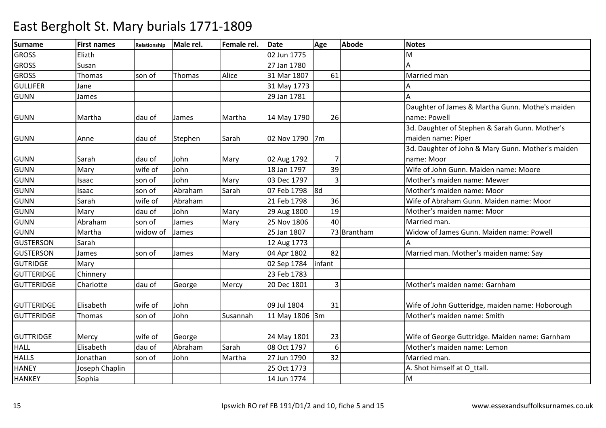| <b>Surname</b>    | <b>First names</b> | Relationship | Male rel. | Female rel. | <b>Date</b>    | Age            | <b>Abode</b> | <b>Notes</b>                                      |
|-------------------|--------------------|--------------|-----------|-------------|----------------|----------------|--------------|---------------------------------------------------|
| <b>GROSS</b>      | Elizth             |              |           |             | 02 Jun 1775    |                |              | м                                                 |
| <b>GROSS</b>      | Susan              |              |           |             | 27 Jan 1780    |                |              |                                                   |
| <b>GROSS</b>      | Thomas             | son of       | Thomas    | Alice       | 31 Mar 1807    | 61             |              | Married man                                       |
| <b>GULLIFER</b>   | Jane               |              |           |             | 31 May 1773    |                |              |                                                   |
| <b>GUNN</b>       | James              |              |           |             | 29 Jan 1781    |                |              | А                                                 |
|                   |                    |              |           |             |                |                |              | Daughter of James & Martha Gunn. Mothe's maiden   |
| <b>GUNN</b>       | Martha             | dau of       | James     | Martha      | 14 May 1790    | 26             |              | name: Powell                                      |
|                   |                    |              |           |             |                |                |              | 3d. Daughter of Stephen & Sarah Gunn. Mother's    |
| <b>GUNN</b>       | Anne               | dau of       | Stephen   | Sarah       | 02 Nov 1790 7m |                |              | maiden name: Piper                                |
|                   |                    |              |           |             |                |                |              | 3d. Daughter of John & Mary Gunn. Mother's maiden |
| <b>GUNN</b>       | Sarah              | dau of       | John      | Mary        | 02 Aug 1792    |                |              | name: Moor                                        |
| <b>GUNN</b>       | Mary               | wife of      | John      |             | 18 Jan 1797    | 39             |              | Wife of John Gunn. Maiden name: Moore             |
| <b>GUNN</b>       | Isaac              | son of       | John      | Mary        | 03 Dec 1797    | $\overline{3}$ |              | Mother's maiden name: Mewer                       |
| <b>GUNN</b>       | Isaac              | son of       | Abraham   | Sarah       | 07 Feb 1798    | 8d             |              | Mother's maiden name: Moor                        |
| <b>GUNN</b>       | Sarah              | wife of      | Abraham   |             | 21 Feb 1798    | 36             |              | Wife of Abraham Gunn. Maiden name: Moor           |
| <b>GUNN</b>       | Mary               | dau of       | John      | Mary        | 29 Aug 1800    | 19             |              | Mother's maiden name: Moor                        |
| <b>GUNN</b>       | Abraham            | son of       | James     | Mary        | 25 Nov 1806    | 40             |              | Married man.                                      |
| <b>GUNN</b>       | Martha             | widow of     | James     |             | 25 Jan 1807    |                | 73 Brantham  | Widow of James Gunn. Maiden name: Powell          |
| <b>GUSTERSON</b>  | Sarah              |              |           |             | 12 Aug 1773    |                |              |                                                   |
| <b>GUSTERSON</b>  | James              | son of       | James     | Mary        | 04 Apr 1802    | 82             |              | Married man. Mother's maiden name: Say            |
| <b>GUTRIDGE</b>   | Mary               |              |           |             | 02 Sep 1784    | infant         |              |                                                   |
| <b>GUTTERIDGE</b> | Chinnery           |              |           |             | 23 Feb 1783    |                |              |                                                   |
| <b>GUTTERIDGE</b> | Charlotte          | dau of       | George    | Mercy       | 20 Dec 1801    | 3              |              | Mother's maiden name: Garnham                     |
|                   |                    |              |           |             |                |                |              |                                                   |
| <b>GUTTERIDGE</b> | Elisabeth          | wife of      | John      |             | 09 Jul 1804    | 31             |              | Wife of John Gutteridge, maiden name: Hoborough   |
| <b>GUTTERIDGE</b> | Thomas             | son of       | John      | Susannah    | 11 May 1806 3m |                |              | Mother's maiden name: Smith                       |
|                   |                    |              |           |             |                |                |              |                                                   |
| <b>GUTTRIDGE</b>  | Mercy              | wife of      | George    |             | 24 May 1801    | 23             |              | Wife of George Guttridge. Maiden name: Garnham    |
| <b>HALL</b>       | Elisabeth          | dau of       | Abraham   | Sarah       | 08 Oct 1797    | $6 \mid$       |              | Mother's maiden name: Lemon                       |
| <b>HALLS</b>      | Jonathan           | son of       | John      | Martha      | 27 Jun 1790    | 32             |              | Married man.                                      |
| <b>HANEY</b>      | Joseph Chaplin     |              |           |             | 25 Oct 1773    |                |              | A. Shot himself at O ttall.                       |
| <b>HANKEY</b>     | Sophia             |              |           |             | 14 Jun 1774    |                |              | M                                                 |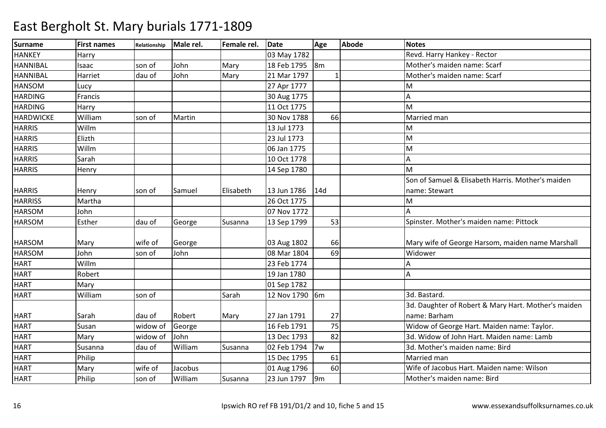| <b>Surname</b>   | <b>First names</b> | Relationship | Male rel. | Female rel. | <b>Date</b>    | Age                       | <b>Abode</b> | <b>Notes</b>                                        |
|------------------|--------------------|--------------|-----------|-------------|----------------|---------------------------|--------------|-----------------------------------------------------|
| <b>HANKEY</b>    | Harry              |              |           |             | 03 May 1782    |                           |              | Revd. Harry Hankey - Rector                         |
| <b>HANNIBAL</b>  | Isaac              | son of       | John      | Mary        | 18 Feb 1795    | 8m                        |              | Mother's maiden name: Scarf                         |
| <b>HANNIBAL</b>  | Harriet            | dau of       | John      | Mary        | 21 Mar 1797    |                           |              | Mother's maiden name: Scarf                         |
| <b>HANSOM</b>    | Lucy               |              |           |             | 27 Apr 1777    |                           |              | M                                                   |
| <b>HARDING</b>   | Francis            |              |           |             | 30 Aug 1775    |                           |              | A                                                   |
| <b>HARDING</b>   | Harry              |              |           |             | 11 Oct 1775    |                           |              | M                                                   |
| <b>HARDWICKE</b> | William            | son of       | Martin    |             | 30 Nov 1788    | 66                        |              | Married man                                         |
| <b>HARRIS</b>    | Willm              |              |           |             | 13 Jul 1773    |                           |              | M                                                   |
| <b>HARRIS</b>    | Elizth             |              |           |             | 23 Jul 1773    |                           |              | M                                                   |
| <b>HARRIS</b>    | Willm              |              |           |             | 06 Jan 1775    |                           |              | M                                                   |
| <b>HARRIS</b>    | Sarah              |              |           |             | 10 Oct 1778    |                           |              | A                                                   |
| <b>HARRIS</b>    | Henry              |              |           |             | 14 Sep 1780    |                           |              | M                                                   |
|                  |                    |              |           |             |                |                           |              | Son of Samuel & Elisabeth Harris, Mother's maiden   |
| <b>HARRIS</b>    | Henry              | son of       | Samuel    | Elisabeth   | 13 Jun 1786    | 14d                       |              | name: Stewart                                       |
| <b>HARRISS</b>   | Martha             |              |           |             | 26 Oct 1775    |                           |              | M                                                   |
| <b>HARSOM</b>    | John               |              |           |             | 07 Nov 1772    |                           |              | A                                                   |
| <b>HARSOM</b>    | Esther             | dau of       | George    | Susanna     | 13 Sep 1799    | 53                        |              | Spinster. Mother's maiden name: Pittock             |
|                  |                    |              |           |             |                |                           |              |                                                     |
| <b>HARSOM</b>    | Mary               | wife of      | George    |             | 03 Aug 1802    | 66                        |              | Mary wife of George Harsom, maiden name Marshall    |
| <b>HARSOM</b>    | John               | son of       | John      |             | 08 Mar 1804    | 69                        |              | Widower                                             |
| <b>HART</b>      | Willm              |              |           |             | 23 Feb 1774    |                           |              | А                                                   |
| <b>HART</b>      | Robert             |              |           |             | 19 Jan 1780    |                           |              | A                                                   |
| <b>HART</b>      | Mary               |              |           |             | 01 Sep 1782    |                           |              |                                                     |
| <b>HART</b>      | William            | son of       |           | Sarah       | 12 Nov 1790 6m |                           |              | 3d. Bastard.                                        |
|                  |                    |              |           |             |                |                           |              | 3d. Daughter of Robert & Mary Hart. Mother's maiden |
| <b>HART</b>      | Sarah              | dau of       | Robert    | Mary        | 27 Jan 1791    | 27                        |              | name: Barham                                        |
| HART             | Susan              | widow of     | George    |             | 16 Feb 1791    | 75                        |              | Widow of George Hart. Maiden name: Taylor.          |
| HART             | Mary               | widow of     | John      |             | 13 Dec 1793    | 82                        |              | 3d. Widow of John Hart, Maiden name: Lamb           |
| <b>HART</b>      | Susanna            | dau of       | William   | Susanna     | 02 Feb 1794    | 7w                        |              | 3d. Mother's maiden name: Bird                      |
| <b>HART</b>      | Philip             |              |           |             | 15 Dec 1795    | 61                        |              | Married man                                         |
| <b>HART</b>      | Mary               | wife of      | Jacobus   |             | 01 Aug 1796    | 60                        |              | Wife of Jacobus Hart. Maiden name: Wilson           |
| <b>HART</b>      | Philip             | son of       | William   | Susanna     | 23 Jun 1797    | $\mathsf{g}_{\mathsf{m}}$ |              | Mother's maiden name: Bird                          |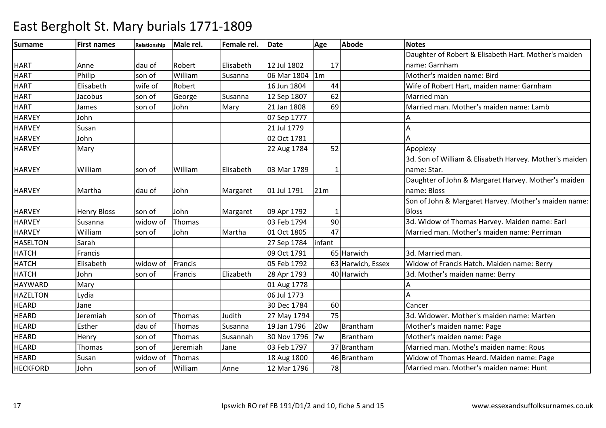| Surname         | <b>First names</b> | Relationship | Male rel. | Female rel. | <b>Date</b> | Age            | <b>Abode</b>      | <b>Notes</b>                                           |
|-----------------|--------------------|--------------|-----------|-------------|-------------|----------------|-------------------|--------------------------------------------------------|
|                 |                    |              |           |             |             |                |                   | Daughter of Robert & Elisabeth Hart. Mother's maiden   |
| <b>HART</b>     | Anne               | dau of       | Robert    | Elisabeth   | 12 Jul 1802 | 17             |                   | name: Garnham                                          |
| <b>HART</b>     | Philip             | son of       | William   | Susanna     | 06 Mar 1804 | 1 <sub>m</sub> |                   | Mother's maiden name: Bird                             |
| <b>HART</b>     | Elisabeth          | wife of      | Robert    |             | 16 Jun 1804 | 44             |                   | Wife of Robert Hart, maiden name: Garnham              |
| <b>HART</b>     | Jacobus            | son of       | George    | Susanna     | 12 Sep 1807 | 62             |                   | Married man                                            |
| <b>HART</b>     | James              | son of       | John      | Mary        | 21 Jan 1808 | 69             |                   | Married man. Mother's maiden name: Lamb                |
| <b>HARVEY</b>   | John               |              |           |             | 07 Sep 1777 |                |                   |                                                        |
| <b>HARVEY</b>   | Susan              |              |           |             | 21 Jul 1779 |                |                   |                                                        |
| <b>HARVEY</b>   | John               |              |           |             | 02 Oct 1781 |                |                   |                                                        |
| <b>HARVEY</b>   | Mary               |              |           |             | 22 Aug 1784 | 52             |                   | Apoplexy                                               |
|                 |                    |              |           |             |             |                |                   | 3d. Son of William & Elisabeth Harvey. Mother's maiden |
| <b>HARVEY</b>   | William            | son of       | William   | Elisabeth   | 03 Mar 1789 |                |                   | name: Star.                                            |
|                 |                    |              |           |             |             |                |                   | Daughter of John & Margaret Harvey. Mother's maiden    |
| <b>HARVEY</b>   | Martha             | dau of       | John      | Margaret    | 01 Jul 1791 | 21m            |                   | name: Bloss                                            |
|                 |                    |              |           |             |             |                |                   | Son of John & Margaret Harvey. Mother's maiden name:   |
| <b>HARVEY</b>   | <b>Henry Bloss</b> | son of       | John      | Margaret    | 09 Apr 1792 |                |                   | <b>Bloss</b>                                           |
| <b>HARVEY</b>   | Susanna            | widow of     | Thomas    |             | 03 Feb 1794 | 90             |                   | 3d. Widow of Thomas Harvey. Maiden name: Earl          |
| <b>HARVEY</b>   | William            | son of       | John      | Martha      | 01 Oct 1805 | 47             |                   | Married man. Mother's maiden name: Perriman            |
| <b>HASELTON</b> | Sarah              |              |           |             | 27 Sep 1784 | infant         |                   |                                                        |
| <b>HATCH</b>    | Francis            |              |           |             | 09 Oct 1791 |                | 65 Harwich        | 3d. Married man.                                       |
| <b>HATCH</b>    | Elisabeth          | widow of     | Francis   |             | 05 Feb 1792 |                | 63 Harwich, Essex | Widow of Francis Hatch. Maiden name: Berry             |
| <b>HATCH</b>    | John               | son of       | Francis   | Elizabeth   | 28 Apr 1793 |                | 40 Harwich        | 3d. Mother's maiden name: Berry                        |
| <b>HAYWARD</b>  | Mary               |              |           |             | 01 Aug 1778 |                |                   |                                                        |
| <b>HAZELTON</b> | Lydia              |              |           |             | 06 Jul 1773 |                |                   |                                                        |
| <b>HEARD</b>    | Jane               |              |           |             | 30 Dec 1784 | 60             |                   | Cancer                                                 |
| <b>HEARD</b>    | Jeremiah           | son of       | Thomas    | Judith      | 27 May 1794 | 75             |                   | 3d. Widower. Mother's maiden name: Marten              |
| <b>HEARD</b>    | Esther             | dau of       | Thomas    | Susanna     | 19 Jan 1796 | <b>20w</b>     | Brantham          | Mother's maiden name: Page                             |
| <b>HEARD</b>    | Henry              | son of       | Thomas    | Susannah    | 30 Nov 1796 | 7w             | <b>Brantham</b>   | Mother's maiden name: Page                             |
| <b>HEARD</b>    | Thomas             | son of       | Jeremiah  | Jane        | 03 Feb 1797 |                | 37 Brantham       | Married man. Mothe's maiden name: Rous                 |
| <b>HEARD</b>    | Susan              | widow of     | Thomas    |             | 18 Aug 1800 |                | 46 Brantham       | Widow of Thomas Heard. Maiden name: Page               |
| <b>HECKFORD</b> | John               | son of       | William   | Anne        | 12 Mar 1796 | 78             |                   | Married man. Mother's maiden name: Hunt                |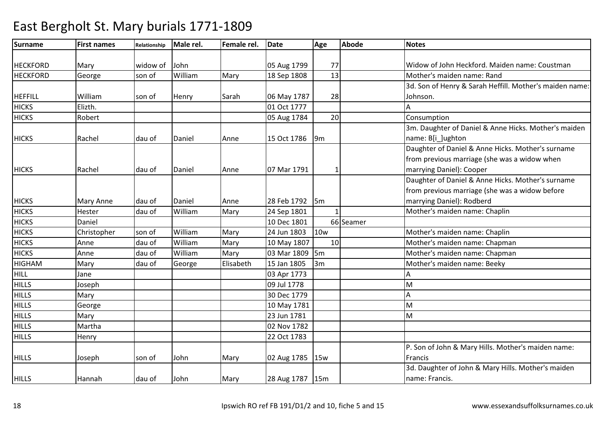| Surname         | <b>First names</b> | Relationship | Male rel. | Female rel. | <b>Date</b>     | Age            | <b>Abode</b> | <b>Notes</b>                                            |
|-----------------|--------------------|--------------|-----------|-------------|-----------------|----------------|--------------|---------------------------------------------------------|
|                 |                    |              |           |             |                 |                |              |                                                         |
| <b>HECKFORD</b> | Mary               | widow of     | John      |             | 05 Aug 1799     | 77             |              | Widow of John Heckford. Maiden name: Coustman           |
| <b>HECKFORD</b> | George             | son of       | William   | Mary        | 18 Sep 1808     | 13             |              | Mother's maiden name: Rand                              |
|                 |                    |              |           |             |                 |                |              | 3d. Son of Henry & Sarah Heffill. Mother's maiden name: |
| <b>HEFFILL</b>  | William            | son of       | Henry     | Sarah       | 06 May 1787     | 28             |              | Johnson.                                                |
| <b>HICKS</b>    | Elizth.            |              |           |             | 01 Oct 1777     |                |              | A                                                       |
| <b>HICKS</b>    | Robert             |              |           |             | 05 Aug 1784     | 20             |              | Consumption                                             |
|                 |                    |              |           |             |                 |                |              | 3m. Daughter of Daniel & Anne Hicks. Mother's maiden    |
| <b>HICKS</b>    | Rachel             | dau of       | Daniel    | Anne        | 15 Oct 1786     | $\mathsf{9m}$  |              | name: B[i_]ughton                                       |
|                 |                    |              |           |             |                 |                |              | Daughter of Daniel & Anne Hicks. Mother's surname       |
|                 |                    |              |           |             |                 |                |              | from previous marriage (she was a widow when            |
| <b>HICKS</b>    | Rachel             | dau of       | Daniel    | Anne        | 07 Mar 1791     |                |              | marrying Daniel): Cooper                                |
|                 |                    |              |           |             |                 |                |              | Daughter of Daniel & Anne Hicks. Mother's surname       |
|                 |                    |              |           |             |                 |                |              | from previous marriage (she was a widow before          |
| <b>HICKS</b>    | <b>Mary Anne</b>   | dau of       | Daniel    | Anne        | 28 Feb 1792     | $\mathsf{I5m}$ |              | marrying Daniel): Rodberd                               |
| <b>HICKS</b>    | Hester             | dau of       | William   | Mary        | 24 Sep 1801     |                |              | Mother's maiden name: Chaplin                           |
| <b>HICKS</b>    | Daniel             |              |           |             | 10 Dec 1801     |                | 66 Seamer    |                                                         |
| <b>HICKS</b>    | Christopher        | son of       | William   | Mary        | 24 Jun 1803     | <b>10w</b>     |              | Mother's maiden name: Chaplin                           |
| <b>HICKS</b>    | Anne               | dau of       | William   | Mary        | 10 May 1807     | 10             |              | Mother's maiden name: Chapman                           |
| <b>HICKS</b>    | Anne               | dau of       | William   | Mary        | 03 Mar 1809     | $\mathsf{I5m}$ |              | Mother's maiden name: Chapman                           |
| <b>HIGHAM</b>   | Mary               | dau of       | George    | Elisabeth   | 15 Jan 1805     | 3m             |              | Mother's maiden name: Beeky                             |
| HILL            | Jane               |              |           |             | 03 Apr 1773     |                |              | А                                                       |
| <b>HILLS</b>    | Joseph             |              |           |             | 09 Jul 1778     |                |              | M                                                       |
| <b>HILLS</b>    | Mary               |              |           |             | 30 Dec 1779     |                |              | Α                                                       |
| <b>HILLS</b>    | George             |              |           |             | 10 May 1781     |                |              | M                                                       |
| <b>HILLS</b>    | Mary               |              |           |             | 23 Jun 1781     |                |              | M                                                       |
| <b>HILLS</b>    | Martha             |              |           |             | 02 Nov 1782     |                |              |                                                         |
| <b>HILLS</b>    | Henry              |              |           |             | 22 Oct 1783     |                |              |                                                         |
|                 |                    |              |           |             |                 |                |              | P. Son of John & Mary Hills. Mother's maiden name:      |
| <b>HILLS</b>    | Joseph             | son of       | John      | Mary        | 02 Aug 1785     | 15w            |              | Francis                                                 |
|                 |                    |              |           |             |                 |                |              | 3d. Daughter of John & Mary Hills. Mother's maiden      |
| <b>HILLS</b>    | Hannah             | dau of       | John      | Mary        | 28 Aug 1787 15m |                |              | name: Francis.                                          |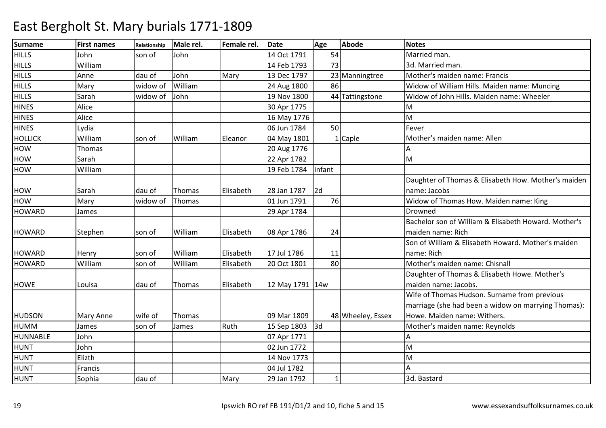| <b>Surname</b> | <b>First names</b> | Relationship | Male rel. | Female rel. | <b>Date</b>     | Age    | <b>Abode</b>      | <b>Notes</b>                                         |
|----------------|--------------------|--------------|-----------|-------------|-----------------|--------|-------------------|------------------------------------------------------|
| <b>HILLS</b>   | John               | son of       | John      |             | 14 Oct 1791     | 54     |                   | Married man                                          |
| <b>HILLS</b>   | William            |              |           |             | 14 Feb 1793     | 73     |                   | 3d. Married man.                                     |
| <b>HILLS</b>   | Anne               | dau of       | John      | Mary        | 13 Dec 1797     |        | 23 Manningtree    | Mother's maiden name: Francis                        |
| <b>HILLS</b>   | Mary               | widow of     | William   |             | 24 Aug 1800     | 86     |                   | Widow of William Hills. Maiden name: Muncing         |
| <b>HILLS</b>   | Sarah              | widow of     | John      |             | 19 Nov 1800     |        | 44 Tattingstone   | Widow of John Hills. Maiden name: Wheeler            |
| <b>HINES</b>   | Alice              |              |           |             | 30 Apr 1775     |        |                   | M                                                    |
| <b>HINES</b>   | Alice              |              |           |             | 16 May 1776     |        |                   | M                                                    |
| <b>HINES</b>   | Lydia              |              |           |             | 06 Jun 1784     | 50     |                   | Fever                                                |
| <b>HOLLICK</b> | William            | son of       | William   | Eleanor     | 04 May 1801     |        | $1$ Caple         | Mother's maiden name: Allen                          |
| <b>HOW</b>     | Thomas             |              |           |             | 20 Aug 1776     |        |                   |                                                      |
| <b>HOW</b>     | Sarah              |              |           |             | 22 Apr 1782     |        |                   | M                                                    |
| <b>HOW</b>     | William            |              |           |             | 19 Feb 1784     | infant |                   |                                                      |
|                |                    |              |           |             |                 |        |                   | Daughter of Thomas & Elisabeth How. Mother's maiden  |
| <b>HOW</b>     | Sarah              | dau of       | Thomas    | Elisabeth   | 28 Jan 1787     | 2d     |                   | name: Jacobs                                         |
| HOW            | Mary               | widow of     | Thomas    |             | 01 Jun 1791     | 76     |                   | Widow of Thomas How. Maiden name: King               |
| <b>HOWARD</b>  | James              |              |           |             | 29 Apr 1784     |        |                   | Drowned                                              |
|                |                    |              |           |             |                 |        |                   | Bachelor son of William & Elisabeth Howard. Mother's |
| <b>HOWARD</b>  | Stephen            | son of       | William   | Elisabeth   | 08 Apr 1786     | 24     |                   | maiden name: Rich                                    |
|                |                    |              |           |             |                 |        |                   | Son of William & Elisabeth Howard. Mother's maiden   |
| <b>HOWARD</b>  | Henry              | son of       | William   | Elisabeth   | 17 Jul 1786     | 11     |                   | name: Rich                                           |
| <b>HOWARD</b>  | William            | son of       | William   | Elisabeth   | 20 Oct 1801     | 80     |                   | Mother's maiden name: Chisnall                       |
|                |                    |              |           |             |                 |        |                   | Daughter of Thomas & Elisabeth Howe. Mother's        |
| <b>HOWE</b>    | Louisa             | dau of       | Thomas    | Elisabeth   | 12 May 1791 14w |        |                   | maiden name: Jacobs.                                 |
|                |                    |              |           |             |                 |        |                   | Wife of Thomas Hudson. Surname from previous         |
|                |                    |              |           |             |                 |        |                   | marriage (she had been a widow on marrying Thomas):  |
| <b>HUDSON</b>  | Mary Anne          | wife of      | Thomas    |             | 09 Mar 1809     |        | 48 Wheeley, Essex | Howe. Maiden name: Withers.                          |
| <b>HUMM</b>    | James              | son of       | James     | Ruth        | 15 Sep 1803     | 3d     |                   | Mother's maiden name: Reynolds                       |
| HUNNABLE       | John               |              |           |             | 07 Apr 1771     |        |                   | А                                                    |
| <b>HUNT</b>    | John               |              |           |             | 02 Jun 1772     |        |                   | M                                                    |
| <b>HUNT</b>    | Elizth             |              |           |             | 14 Nov 1773     |        |                   | M                                                    |
| <b>HUNT</b>    | Francis            |              |           |             | 04 Jul 1782     |        |                   |                                                      |
| <b>HUNT</b>    | Sophia             | dau of       |           | Mary        | 29 Jan 1792     |        |                   | 3d. Bastard                                          |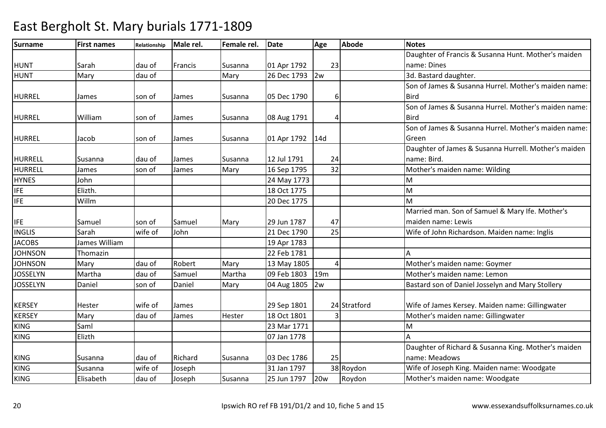| <b>Surname</b>  | <b>First names</b> | Relationship | Male rel. | Female rel. | <b>Date</b> | Age             | <b>Abode</b> | <b>Notes</b>                                         |
|-----------------|--------------------|--------------|-----------|-------------|-------------|-----------------|--------------|------------------------------------------------------|
|                 |                    |              |           |             |             |                 |              | Daughter of Francis & Susanna Hunt. Mother's maiden  |
| <b>HUNT</b>     | Sarah              | dau of       | Francis   | Susanna     | 01 Apr 1792 | 23              |              | name: Dines                                          |
| <b>HUNT</b>     | Mary               | dau of       |           | Mary        | 26 Dec 1793 | 2w              |              | 3d. Bastard daughter.                                |
|                 |                    |              |           |             |             |                 |              | Son of James & Susanna Hurrel. Mother's maiden name: |
| <b>HURREL</b>   | James              | son of       | James     | Susanna     | 05 Dec 1790 |                 |              | <b>Bird</b>                                          |
|                 |                    |              |           |             |             |                 |              | Son of James & Susanna Hurrel. Mother's maiden name: |
| HURREL          | William            | son of       | James     | Susanna     | 08 Aug 1791 |                 |              | <b>Bird</b>                                          |
|                 |                    |              |           |             |             |                 |              | Son of James & Susanna Hurrel. Mother's maiden name: |
| <b>HURREL</b>   | Jacob              | son of       | James     | Susanna     | 01 Apr 1792 | 14d             |              | Green                                                |
|                 |                    |              |           |             |             |                 |              | Daughter of James & Susanna Hurrell. Mother's maiden |
| <b>HURRELL</b>  | Susanna            | dau of       | James     | Susanna     | 12 Jul 1791 | 24              |              | name: Bird.                                          |
| <b>HURRELL</b>  | James              | son of       | James     | Mary        | 16 Sep 1795 | 32              |              | Mother's maiden name: Wilding                        |
| <b>HYNES</b>    | John               |              |           |             | 24 May 1773 |                 |              | M                                                    |
| <b>IFE</b>      | Elizth.            |              |           |             | 18 Oct 1775 |                 |              | M                                                    |
| <b>IFE</b>      | Willm              |              |           |             | 20 Dec 1775 |                 |              | M                                                    |
|                 |                    |              |           |             |             |                 |              | Married man. Son of Samuel & Mary Ife. Mother's      |
| <b>IFE</b>      | Samuel             | son of       | Samuel    | Mary        | 29 Jun 1787 | 47              |              | maiden name: Lewis                                   |
| <b>INGLIS</b>   | Sarah              | wife of      | John      |             | 21 Dec 1790 | 25              |              | Wife of John Richardson. Maiden name: Inglis         |
| <b>JACOBS</b>   | James William      |              |           |             | 19 Apr 1783 |                 |              |                                                      |
| <b>JOHNSON</b>  | Thomazin           |              |           |             | 22 Feb 1781 |                 |              |                                                      |
| <b>JOHNSON</b>  | Mary               | dau of       | Robert    | Mary        | 13 May 1805 |                 |              | Mother's maiden name: Goymer                         |
| <b>JOSSELYN</b> | Martha             | dau of       | Samuel    | Martha      | 09 Feb 1803 | 19 <sub>m</sub> |              | Mother's maiden name: Lemon                          |
| <b>JOSSELYN</b> | Daniel             | son of       | Daniel    | Mary        | 04 Aug 1805 | 2w              |              | Bastard son of Daniel Josselyn and Mary Stollery     |
|                 |                    |              |           |             |             |                 |              |                                                      |
| <b>KERSEY</b>   | Hester             | wife of      | James     |             | 29 Sep 1801 |                 | 24 Stratford | Wife of James Kersey. Maiden name: Gillingwater      |
| <b>KERSEY</b>   | Mary               | dau of       | James     | Hester      | 18 Oct 1801 |                 |              | Mother's maiden name: Gillingwater                   |
| <b>KING</b>     | Saml               |              |           |             | 23 Mar 1771 |                 |              | M                                                    |
| <b>KING</b>     | Elizth             |              |           |             | 07 Jan 1778 |                 |              |                                                      |
|                 |                    |              |           |             |             |                 |              | Daughter of Richard & Susanna King. Mother's maiden  |
| <b>KING</b>     | Susanna            | dau of       | Richard   | Susanna     | 03 Dec 1786 | 25              |              | name: Meadows                                        |
| <b>KING</b>     | Susanna            | wife of      | Joseph    |             | 31 Jan 1797 |                 | 38 Roydon    | Wife of Joseph King. Maiden name: Woodgate           |
| <b>KING</b>     | Elisabeth          | dau of       | Joseph    | Susanna     | 25 Jun 1797 | 20 <sub>w</sub> | Roydon       | Mother's maiden name: Woodgate                       |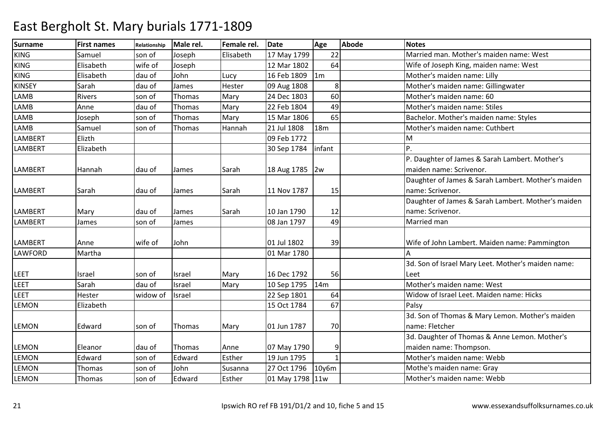| <b>Surname</b> | <b>First names</b> | Relationship | Male rel. | Female rel. | <b>Date</b>     | Age             | <b>Abode</b> | <b>Notes</b>                                       |
|----------------|--------------------|--------------|-----------|-------------|-----------------|-----------------|--------------|----------------------------------------------------|
| <b>KING</b>    | Samuel             | son of       | Joseph    | Elisabeth   | 17 May 1799     | 22              |              | Married man. Mother's maiden name: West            |
| <b>KING</b>    | Elisabeth          | wife of      | Joseph    |             | 12 Mar 1802     | 64              |              | Wife of Joseph King, maiden name: West             |
| <b>KING</b>    | Elisabeth          | dau of       | John      | Lucy        | 16 Feb 1809     | 1m              |              | Mother's maiden name: Lilly                        |
| <b>KINSEY</b>  | Sarah              | dau of       | James     | Hester      | 09 Aug 1808     | 8               |              | Mother's maiden name: Gillingwater                 |
| <b>LAMB</b>    | <b>Rivers</b>      | son of       | Thomas    | Mary        | 24 Dec 1803     | 60              |              | Mother's maiden name: 60                           |
| <b>LAMB</b>    | Anne               | dau of       | Thomas    | Mary        | 22 Feb 1804     | 49              |              | Mother's maiden name: Stiles                       |
| <b>LAMB</b>    | Joseph             | son of       | Thomas    | Mary        | 15 Mar 1806     | 65              |              | Bachelor. Mother's maiden name: Styles             |
| <b>LAMB</b>    | Samuel             | son of       | Thomas    | Hannah      | 21 Jul 1808     | 18 <sub>m</sub> |              | Mother's maiden name: Cuthbert                     |
| LAMBERT        | Elizth             |              |           |             | 09 Feb 1772     |                 |              | M                                                  |
| <b>LAMBERT</b> | Elizabeth          |              |           |             | 30 Sep 1784     | infant          |              | P.                                                 |
|                |                    |              |           |             |                 |                 |              | P. Daughter of James & Sarah Lambert. Mother's     |
| <b>LAMBERT</b> | Hannah             | dau of       | James     | Sarah       | 18 Aug 1785 2w  |                 |              | maiden name: Scrivenor.                            |
|                |                    |              |           |             |                 |                 |              | Daughter of James & Sarah Lambert. Mother's maiden |
| <b>LAMBERT</b> | Sarah              | dau of       | James     | Sarah       | 11 Nov 1787     | 15              |              | name: Scrivenor.                                   |
|                |                    |              |           |             |                 |                 |              | Daughter of James & Sarah Lambert. Mother's maiden |
| <b>LAMBERT</b> | Mary               | dau of       | James     | Sarah       | 10 Jan 1790     | 12              |              | name: Scrivenor.                                   |
| <b>LAMBERT</b> | James              | son of       | James     |             | 08 Jan 1797     | 49              |              | Married man                                        |
|                |                    |              |           |             |                 |                 |              |                                                    |
| <b>LAMBERT</b> | Anne               | wife of      | John      |             | 01 Jul 1802     | 39              |              | Wife of John Lambert. Maiden name: Pammington      |
| LAWFORD        | Martha             |              |           |             | 01 Mar 1780     |                 |              | А                                                  |
|                |                    |              |           |             |                 |                 |              | 3d. Son of Israel Mary Leet. Mother's maiden name: |
| <b>LEET</b>    | Israel             | son of       | Israel    | Mary        | 16 Dec 1792     | 56              |              | Leet                                               |
| <b>LEET</b>    | Sarah              | dau of       | Israel    | Mary        | 10 Sep 1795     | 14m             |              | Mother's maiden name: West                         |
| <b>LEET</b>    | Hester             | widow of     | Israel    |             | 22 Sep 1801     | 64              |              | Widow of Israel Leet. Maiden name: Hicks           |
| <b>LEMON</b>   | Elizabeth          |              |           |             | 15 Oct 1784     | 67              |              | Palsy                                              |
|                |                    |              |           |             |                 |                 |              | 3d. Son of Thomas & Mary Lemon. Mother's maiden    |
| <b>LEMON</b>   | Edward             | son of       | Thomas    | Mary        | 01 Jun 1787     | 70              |              | name: Fletcher                                     |
|                |                    |              |           |             |                 |                 |              | 3d. Daughter of Thomas & Anne Lemon. Mother's      |
| <b>LEMON</b>   | Eleanor            | dau of       | Thomas    | Anne        | 07 May 1790     | 9               |              | maiden name: Thompson.                             |
| <b>LEMON</b>   | Edward             | son of       | Edward    | Esther      | 19 Jun 1795     |                 |              | Mother's maiden name: Webb                         |
| <b>LEMON</b>   | Thomas             | son of       | John      | Susanna     | 27 Oct 1796     | 10y6m           |              | Mothe's maiden name: Gray                          |
| <b>LEMON</b>   | Thomas             | son of       | Edward    | Esther      | 01 May 1798 11w |                 |              | Mother's maiden name: Webb                         |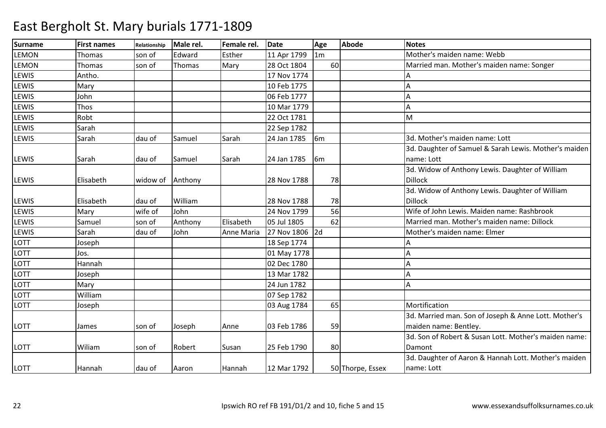| <b>Surname</b> | <b>First names</b> | Relationship | Male rel. | Female rel. | <b>Date</b>    | Age            | <b>Abode</b>     | <b>Notes</b>                                          |
|----------------|--------------------|--------------|-----------|-------------|----------------|----------------|------------------|-------------------------------------------------------|
| <b>LEMON</b>   | <b>Thomas</b>      | son of       | Edward    | Esther      | 11 Apr 1799    | 1 <sub>m</sub> |                  | Mother's maiden name: Webb                            |
| <b>LEMON</b>   | Thomas             | son of       | Thomas    | Mary        | 28 Oct 1804    | 60             |                  | Married man. Mother's maiden name: Songer             |
| LEWIS          | Antho.             |              |           |             | 17 Nov 1774    |                |                  |                                                       |
| LEWIS          | Mary               |              |           |             | 10 Feb 1775    |                |                  |                                                       |
| LEWIS          | John               |              |           |             | 06 Feb 1777    |                |                  | А                                                     |
| LEWIS          | Thos               |              |           |             | 10 Mar 1779    |                |                  | Α                                                     |
| LEWIS          | Robt               |              |           |             | 22 Oct 1781    |                |                  | M                                                     |
| LEWIS          | Sarah              |              |           |             | 22 Sep 1782    |                |                  |                                                       |
| LEWIS          | Sarah              | dau of       | Samuel    | Sarah       | 24 Jan 1785    | 6 <sub>m</sub> |                  | 3d. Mother's maiden name: Lott                        |
|                |                    |              |           |             |                |                |                  | 3d. Daughter of Samuel & Sarah Lewis. Mother's maiden |
| <b>LEWIS</b>   | Sarah              | dau of       | Samuel    | Sarah       | 24 Jan 1785    | 6 <sub>m</sub> |                  | name: Lott                                            |
|                |                    |              |           |             |                |                |                  | 3d. Widow of Anthony Lewis. Daughter of William       |
| <b>LEWIS</b>   | Elisabeth          | widow of     | Anthony   |             | 28 Nov 1788    | 78             |                  | <b>Dillock</b>                                        |
|                |                    |              |           |             |                |                |                  | 3d. Widow of Anthony Lewis. Daughter of William       |
| <b>LEWIS</b>   | Elisabeth          | dau of       | William   |             | 28 Nov 1788    | 78             |                  | <b>Dillock</b>                                        |
| <b>LEWIS</b>   | Mary               | wife of      | John      |             | 24 Nov 1799    | 56             |                  | Wife of John Lewis. Maiden name: Rashbrook            |
| <b>LEWIS</b>   | Samuel             | son of       | Anthony   | Elisabeth   | 05 Jul 1805    | 62             |                  | Married man. Mother's maiden name: Dillock            |
| LEWIS          | Sarah              | dau of       | John      | Anne Maria  | 27 Nov 1806 2d |                |                  | Mother's maiden name: Elmer                           |
| LOTT           | Joseph             |              |           |             | 18 Sep 1774    |                |                  |                                                       |
| LOTT           | Jos.               |              |           |             | 01 May 1778    |                |                  | А                                                     |
| LOTT           | Hannah             |              |           |             | 02 Dec 1780    |                |                  |                                                       |
| LOTT           | Joseph             |              |           |             | 13 Mar 1782    |                |                  | А                                                     |
| LOTT           | Mary               |              |           |             | 24 Jun 1782    |                |                  | А                                                     |
| LOTT           | William            |              |           |             | 07 Sep 1782    |                |                  |                                                       |
| LOTT           | Joseph             |              |           |             | 03 Aug 1784    | 65             |                  | Mortification                                         |
|                |                    |              |           |             |                |                |                  | 3d. Married man. Son of Joseph & Anne Lott. Mother's  |
| LOTT           | James              | son of       | Joseph    | Anne        | 03 Feb 1786    | 59             |                  | maiden name: Bentley.                                 |
|                |                    |              |           |             |                |                |                  | 3d. Son of Robert & Susan Lott. Mother's maiden name: |
| <b>LOTT</b>    | Wiliam             | son of       | Robert    | Susan       | 25 Feb 1790    | 80             |                  | Damont                                                |
|                |                    |              |           |             |                |                |                  | 3d. Daughter of Aaron & Hannah Lott. Mother's maiden  |
| LOTT           | Hannah             | dau of       | Aaron     | Hannah      | 12 Mar 1792    |                | 50 Thorpe, Essex | name: Lott                                            |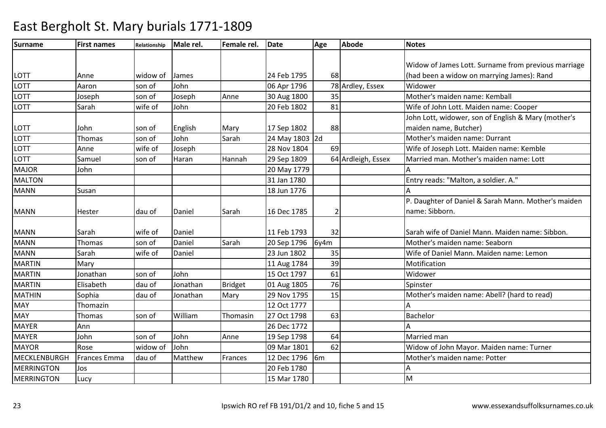| <b>Surname</b>      | <b>First names</b>  | <b>Relationship</b> | Male rel. | Female rel. | <b>Date</b>    | Age  | <b>Abode</b>       | <b>Notes</b>                                        |
|---------------------|---------------------|---------------------|-----------|-------------|----------------|------|--------------------|-----------------------------------------------------|
|                     |                     |                     |           |             |                |      |                    |                                                     |
|                     |                     |                     |           |             |                |      |                    | Widow of James Lott. Surname from previous marriage |
| LOTT                | Anne                | widow of            | James     |             | 24 Feb 1795    | 68   |                    | (had been a widow on marrying James): Rand          |
| LOTT                | Aaron               | son of              | John      |             | 06 Apr 1796    |      | 78 Ardley, Essex   | Widower                                             |
| LOTT                | Joseph              | son of              | Joseph    | Anne        | 30 Aug 1800    | 35   |                    | Mother's maiden name: Kemball                       |
| LOTT                | Sarah               | wife of             | John      |             | 20 Feb 1802    | 81   |                    | Wife of John Lott. Maiden name: Cooper              |
|                     |                     |                     |           |             |                |      |                    | John Lott, widower, son of English & Mary (mother's |
| LOTT                | John                | son of              | English   | Mary        | 17 Sep 1802    | 88   |                    | maiden name, Butcher)                               |
| LOTT                | Thomas              | son of              | John      | Sarah       | 24 May 1803 2d |      |                    | Mother's maiden name: Durrant                       |
| LOTT                | Anne                | wife of             | Joseph    |             | 28 Nov 1804    | 69   |                    | Wife of Joseph Lott. Maiden name: Kemble            |
| LOTT                | Samuel              | son of              | Haran     | Hannah      | 29 Sep 1809    |      | 64 Ardleigh, Essex | Married man. Mother's maiden name: Lott             |
| <b>MAJOR</b>        | John                |                     |           |             | 20 May 1779    |      |                    |                                                     |
| <b>MALTON</b>       |                     |                     |           |             | 31 Jan 1780    |      |                    | Entry reads: "Malton, a soldier. A."                |
| <b>MANN</b>         | Susan               |                     |           |             | 18 Jun 1776    |      |                    | Δ                                                   |
|                     |                     |                     |           |             |                |      |                    | P. Daughter of Daniel & Sarah Mann. Mother's maiden |
| <b>MANN</b>         | Hester              | dau of              | Daniel    | Sarah       | 16 Dec 1785    |      |                    | name: Sibborn.                                      |
|                     |                     |                     |           |             |                |      |                    |                                                     |
| <b>MANN</b>         | Sarah               | wife of             | Daniel    |             | 11 Feb 1793    | 32   |                    | Sarah wife of Daniel Mann. Maiden name: Sibbon.     |
| <b>MANN</b>         | Thomas              | son of              | Daniel    | Sarah       | 20 Sep 1796    | 6y4m |                    | Mother's maiden name: Seaborn                       |
| <b>MANN</b>         | Sarah               | wife of             | Daniel    |             | 23 Jun 1802    | 35   |                    | Wife of Daniel Mann. Maiden name: Lemon             |
| <b>MARTIN</b>       | Mary                |                     |           |             | 11 Aug 1784    | 39   |                    | Motification                                        |
| <b>MARTIN</b>       | Jonathan            | son of              | John      |             | 15 Oct 1797    | 61   |                    | Widower                                             |
| <b>MARTIN</b>       | Elisabeth           | dau of              | Jonathan  | Bridget     | 01 Aug 1805    | 76   |                    | Spinster                                            |
| <b>MATHIN</b>       | Sophia              | dau of              | Jonathan  | Mary        | 29 Nov 1795    | 15   |                    | Mother's maiden name: Abell? (hard to read)         |
| <b>MAY</b>          | Thomazin            |                     |           |             | 12 Oct 1777    |      |                    |                                                     |
| <b>MAY</b>          | Thomas              | son of              | William   | Thomasin    | 27 Oct 1798    | 63   |                    | Bachelor                                            |
| <b>MAYER</b>        | Ann                 |                     |           |             | 26 Dec 1772    |      |                    | А                                                   |
| <b>MAYER</b>        | John                | son of              | John      | Anne        | 19 Sep 1798    | 64   |                    | Married man                                         |
| <b>MAYOR</b>        | Rose                | widow of            | John      |             | 09 Mar 1801    | 62   |                    | Widow of John Mayor. Maiden name: Turner            |
| <b>MECKLENBURGH</b> | <b>Frances Emma</b> | dau of              | Matthew   | Frances     | 12 Dec 1796    | 6m   |                    | Mother's maiden name: Potter                        |
| <b>MERRINGTON</b>   | Jos                 |                     |           |             | 20 Feb 1780    |      |                    | А                                                   |
| <b>MERRINGTON</b>   | Lucy                |                     |           |             | 15 Mar 1780    |      |                    | M                                                   |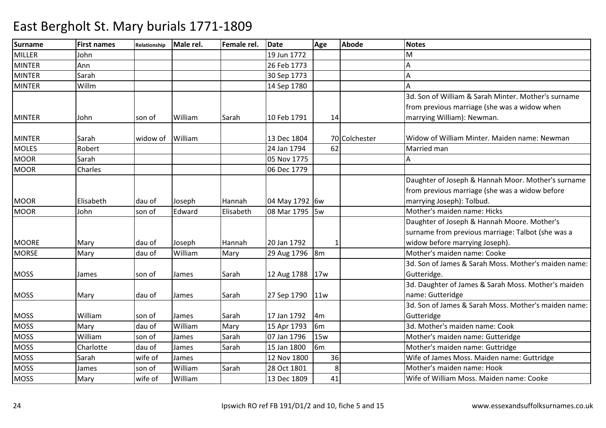| <b>Surname</b> | <b>First names</b> | Relationship | Male rel. | Female rel. | <b>Date</b>     | Age            | <b>Abode</b>  | <b>Notes</b>                                         |
|----------------|--------------------|--------------|-----------|-------------|-----------------|----------------|---------------|------------------------------------------------------|
| <b>MILLER</b>  | John               |              |           |             | 19 Jun 1772     |                |               | М                                                    |
| <b>MINTER</b>  | Ann                |              |           |             | 26 Feb 1773     |                |               |                                                      |
| <b>MINTER</b>  | Sarah              |              |           |             | 30 Sep 1773     |                |               |                                                      |
| <b>MINTER</b>  | Willm              |              |           |             | 14 Sep 1780     |                |               |                                                      |
|                |                    |              |           |             |                 |                |               | 3d. Son of William & Sarah Minter, Mother's surname  |
|                |                    |              |           |             |                 |                |               | from previous marriage (she was a widow when         |
| <b>MINTER</b>  | John               | son of       | William   | Sarah       | 10 Feb 1791     | 14             |               | marrying William): Newman.                           |
|                |                    |              |           |             |                 |                |               |                                                      |
| <b>MINTER</b>  | Sarah              | widow of     | William   |             | 13 Dec 1804     |                | 70 Colchester | Widow of William Minter. Maiden name: Newman         |
| <b>MOLES</b>   | Robert             |              |           |             | 24 Jan 1794     | 62             |               | Married man                                          |
| <b>MOOR</b>    | Sarah              |              |           |             | 05 Nov 1775     |                |               |                                                      |
| <b>MOOR</b>    | Charles            |              |           |             | 06 Dec 1779     |                |               |                                                      |
|                |                    |              |           |             |                 |                |               | Daughter of Joseph & Hannah Moor. Mother's surname   |
|                |                    |              |           |             |                 |                |               | from previous marriage (she was a widow before       |
| <b>MOOR</b>    | Elisabeth          | dau of       | Joseph    | Hannah      | 04 May 1792 6w  |                |               | marrying Joseph): Tolbud.                            |
| <b>MOOR</b>    | John               | son of       | Edward    | Elisabeth   | 08 Mar 1795 5w  |                |               | Mother's maiden name: Hicks                          |
|                |                    |              |           |             |                 |                |               | Daughter of Joseph & Hannah Moore. Mother's          |
|                |                    |              |           |             |                 |                |               | surname from previous marriage: Talbot (she was a    |
| <b>MOORE</b>   | Mary               | dau of       | Joseph    | Hannah      | 20 Jan 1792     |                |               | widow before marrying Joseph).                       |
| <b>MORSE</b>   | Mary               | dau of       | William   | Mary        | 29 Aug 1796 8m  |                |               | Mother's maiden name: Cooke                          |
|                |                    |              |           |             |                 |                |               | 3d. Son of James & Sarah Moss. Mother's maiden name: |
| <b>MOSS</b>    | James              | son of       | James     | Sarah       | 12 Aug 1788 17w |                |               | Gutteridge.                                          |
|                |                    |              |           |             |                 |                |               | 3d. Daughter of James & Sarah Moss. Mother's maiden  |
| <b>MOSS</b>    | Mary               | dau of       | James     | Sarah       | 27 Sep 1790     | 11w            |               | name: Gutteridge                                     |
|                |                    |              |           |             |                 |                |               | 3d. Son of James & Sarah Moss. Mother's maiden name: |
| <b>MOSS</b>    | William            | son of       | James     | Sarah       | 17 Jan 1792     | 4 <sub>m</sub> |               | Gutteridge                                           |
| <b>MOSS</b>    | Mary               | dau of       | William   | Mary        | 15 Apr 1793     | 6 <sub>m</sub> |               | 3d. Mother's maiden name: Cook                       |
| <b>MOSS</b>    | William            | son of       | James     | Sarah       | 07 Jan 1796     | 15w            |               | Mother's maiden name: Gutteridge                     |
| <b>MOSS</b>    | Charlotte          | dau of       | James     | Sarah       | 15 Jan 1800     | 6 <sub>m</sub> |               | Mother's maiden name: Guttridge                      |
| <b>MOSS</b>    | Sarah              | wife of      | James     |             | 12 Nov 1800     | 36             |               | Wife of James Moss. Maiden name: Guttridge           |
| <b>MOSS</b>    | James              | son of       | William   | Sarah       | 28 Oct 1801     | 8              |               | Mother's maiden name: Hook                           |
| <b>MOSS</b>    | Mary               | wife of      | William   |             | 13 Dec 1809     | 41             |               | Wife of William Moss. Maiden name: Cooke             |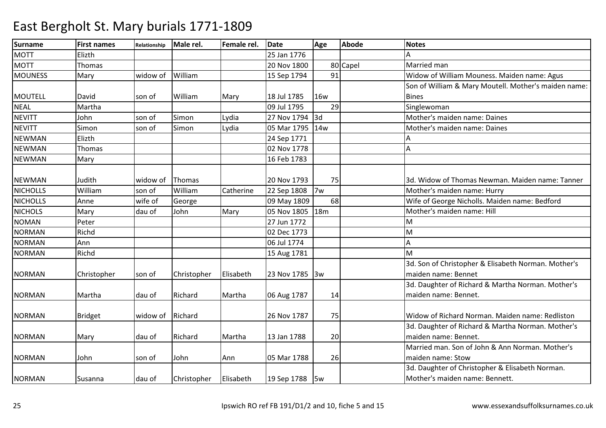| <b>Surname</b>  | <b>First names</b> | <b>Relationship</b> | Male rel.   | Female rel. | <b>Date</b>    | Age             | <b>Abode</b> | <b>Notes</b>                                         |
|-----------------|--------------------|---------------------|-------------|-------------|----------------|-----------------|--------------|------------------------------------------------------|
| <b>MOTT</b>     | Elizth             |                     |             |             | 25 Jan 1776    |                 |              |                                                      |
| <b>MOTT</b>     | Thomas             |                     |             |             | 20 Nov 1800    |                 | 80 Capel     | Married man                                          |
| <b>MOUNESS</b>  | Mary               | widow of            | William     |             | 15 Sep 1794    | 91              |              | Widow of William Mouness. Maiden name: Agus          |
|                 |                    |                     |             |             |                |                 |              | Son of William & Mary Moutell. Mother's maiden name: |
| <b>MOUTELL</b>  | David              | son of              | William     | Mary        | 18 Jul 1785    | <b>16w</b>      |              | <b>Bines</b>                                         |
| <b>NEAL</b>     | Martha             |                     |             |             | 09 Jul 1795    | 29              |              | Singlewoman                                          |
| <b>NEVITT</b>   | John               | son of              | Simon       | Lydia       | 27 Nov 1794    | 3d              |              | Mother's maiden name: Daines                         |
| <b>NEVITT</b>   | Simon              | son of              | Simon       | Lydia       | 05 Mar 1795    | 14w             |              | Mother's maiden name: Daines                         |
| <b>NEWMAN</b>   | Elizth             |                     |             |             | 24 Sep 1771    |                 |              |                                                      |
| <b>NEWMAN</b>   | Thomas             |                     |             |             | 02 Nov 1778    |                 |              | А                                                    |
| <b>NEWMAN</b>   | Mary               |                     |             |             | 16 Feb 1783    |                 |              |                                                      |
|                 |                    |                     |             |             |                |                 |              |                                                      |
| <b>NEWMAN</b>   | Judith             | widow of            | Thomas      |             | 20 Nov 1793    | 75              |              | 3d. Widow of Thomas Newman. Maiden name: Tanner      |
| <b>NICHOLLS</b> | William            | son of              | William     | Catherine   | 22 Sep 1808    | 7w              |              | Mother's maiden name: Hurry                          |
| <b>NICHOLLS</b> | Anne               | wife of             | George      |             | 09 May 1809    | 68              |              | Wife of George Nicholls. Maiden name: Bedford        |
| <b>NICHOLS</b>  | Mary               | dau of              | John        | Mary        | 05 Nov 1805    | 18 <sub>m</sub> |              | Mother's maiden name: Hill                           |
| <b>NOMAN</b>    | Peter              |                     |             |             | 27 Jun 1772    |                 |              | M                                                    |
| <b>NORMAN</b>   | Richd              |                     |             |             | 02 Dec 1773    |                 |              | M                                                    |
| <b>NORMAN</b>   | Ann                |                     |             |             | 06 Jul 1774    |                 |              | А                                                    |
| <b>NORMAN</b>   | Richd              |                     |             |             | 15 Aug 1781    |                 |              | M                                                    |
|                 |                    |                     |             |             |                |                 |              | 3d. Son of Christopher & Elisabeth Norman. Mother's  |
| <b>NORMAN</b>   | Christopher        | son of              | Christopher | Elisabeth   | 23 Nov 1785    | 3w              |              | maiden name: Bennet                                  |
|                 |                    |                     |             |             |                |                 |              | 3d. Daughter of Richard & Martha Norman. Mother's    |
| <b>NORMAN</b>   | Martha             | dau of              | Richard     | Martha      | 06 Aug 1787    | 14              |              | maiden name: Bennet.                                 |
|                 |                    |                     |             |             |                |                 |              |                                                      |
| <b>NORMAN</b>   | <b>Bridget</b>     | widow of            | Richard     |             | 26 Nov 1787    | 75              |              | Widow of Richard Norman. Maiden name: Redliston      |
|                 |                    |                     |             |             |                |                 |              | 3d. Daughter of Richard & Martha Norman. Mother's    |
| <b>NORMAN</b>   | Mary               | dau of              | Richard     | Martha      | 13 Jan 1788    | 20              |              | maiden name: Bennet.                                 |
|                 |                    |                     |             |             |                |                 |              | Married man. Son of John & Ann Norman. Mother's      |
| <b>NORMAN</b>   | John               | son of              | John        | Ann         | 05 Mar 1788    | 26              |              | maiden name: Stow                                    |
|                 |                    |                     |             |             |                |                 |              | 3d. Daughter of Christopher & Elisabeth Norman.      |
| <b>NORMAN</b>   | Susanna            | dau of              | Christopher | Elisabeth   | 19 Sep 1788 5w |                 |              | Mother's maiden name: Bennett.                       |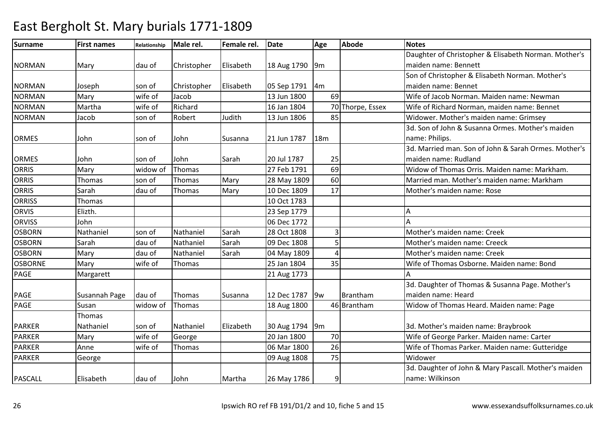| <b>Surname</b> | <b>First names</b> | Relationship | Male rel.   | Female rel. | <b>Date</b> | Age            | <b>Abode</b>     | <b>Notes</b>                                         |
|----------------|--------------------|--------------|-------------|-------------|-------------|----------------|------------------|------------------------------------------------------|
|                |                    |              |             |             |             |                |                  | Daughter of Christopher & Elisabeth Norman. Mother's |
| <b>NORMAN</b>  | Mary               | dau of       | Christopher | Elisabeth   | 18 Aug 1790 | 9m             |                  | maiden name: Bennett                                 |
|                |                    |              |             |             |             |                |                  | Son of Christopher & Elisabeth Norman. Mother's      |
| <b>NORMAN</b>  | Joseph             | son of       | Christopher | Elisabeth   | 05 Sep 1791 | 4m             |                  | maiden name: Bennet                                  |
| <b>NORMAN</b>  | Mary               | wife of      | Jacob       |             | 13 Jun 1800 | 69             |                  | Wife of Jacob Norman. Maiden name: Newman            |
| <b>NORMAN</b>  | Martha             | wife of      | Richard     |             | 16 Jan 1804 |                | 70 Thorpe, Essex | Wife of Richard Norman, maiden name: Bennet          |
| <b>NORMAN</b>  | Jacob              | son of       | Robert      | Judith      | 13 Jun 1806 | 85             |                  | Widower. Mother's maiden name: Grimsey               |
|                |                    |              |             |             |             |                |                  | 3d. Son of John & Susanna Ormes. Mother's maiden     |
| <b>ORMES</b>   | John               | son of       | John        | Susanna     | 21 Jun 1787 | 18m            |                  | name: Philips.                                       |
|                |                    |              |             |             |             |                |                  | 3d. Married man. Son of John & Sarah Ormes. Mother's |
| <b>ORMES</b>   | John               | son of       | John        | Sarah       | 20 Jul 1787 | 25             |                  | maiden name: Rudland                                 |
| <b>ORRIS</b>   | Mary               | widow of     | Thomas      |             | 27 Feb 1791 | 69             |                  | Widow of Thomas Orris. Maiden name: Markham.         |
| <b>ORRIS</b>   | Thomas             | son of       | Thomas      | Mary        | 28 May 1809 | 60             |                  | Married man. Mother's maiden name: Markham           |
| <b>ORRIS</b>   | Sarah              | dau of       | Thomas      | Mary        | 10 Dec 1809 | 17             |                  | Mother's maiden name: Rose                           |
| <b>ORRISS</b>  | Thomas             |              |             |             | 10 Oct 1783 |                |                  |                                                      |
| <b>ORVIS</b>   | Elizth.            |              |             |             | 23 Sep 1779 |                |                  | А                                                    |
| <b>ORVISS</b>  | John               |              |             |             | 06 Dec 1772 |                |                  |                                                      |
| <b>OSBORN</b>  | Nathaniel          | son of       | Nathaniel   | Sarah       | 28 Oct 1808 | $\overline{3}$ |                  | Mother's maiden name: Creek                          |
| <b>OSBORN</b>  | Sarah              | dau of       | Nathaniel   | Sarah       | 09 Dec 1808 |                |                  | Mother's maiden name: Creeck                         |
| <b>OSBORN</b>  | Mary               | dau of       | Nathaniel   | Sarah       | 04 May 1809 |                |                  | Mother's maiden name: Creek                          |
| <b>OSBORNE</b> | Mary               | wife of      | Thomas      |             | 25 Jan 1804 | 35             |                  | Wife of Thomas Osborne. Maiden name: Bond            |
| <b>PAGE</b>    | Margarett          |              |             |             | 21 Aug 1773 |                |                  |                                                      |
|                |                    |              |             |             |             |                |                  | 3d. Daughter of Thomas & Susanna Page. Mother's      |
| <b>PAGE</b>    | Susannah Page      | dau of       | Thomas      | Susanna     | 12 Dec 1787 | 9w             | Brantham         | maiden name: Heard                                   |
| <b>PAGE</b>    | Susan              | widow of     | Thomas      |             | 18 Aug 1800 |                | 46 Brantham      | Widow of Thomas Heard. Maiden name: Page             |
|                | Thomas             |              |             |             |             |                |                  |                                                      |
| <b>PARKER</b>  | Nathaniel          | son of       | Nathaniel   | Elizabeth   | 30 Aug 1794 | 9m             |                  | 3d. Mother's maiden name: Braybrook                  |
| <b>PARKER</b>  | Mary               | wife of      | George      |             | 20 Jan 1800 | 70             |                  | Wife of George Parker. Maiden name: Carter           |
| <b>PARKER</b>  | Anne               | wife of      | Thomas      |             | 06 Mar 1800 | 26             |                  | Wife of Thomas Parker. Maiden name: Gutteridge       |
| <b>PARKER</b>  | George             |              |             |             | 09 Aug 1808 | 75             |                  | Widower                                              |
|                |                    |              |             |             |             |                |                  | 3d. Daughter of John & Mary Pascall. Mother's maiden |
| <b>PASCALL</b> | Elisabeth          | dau of       | John        | Martha      | 26 May 1786 | 9              |                  | name: Wilkinson                                      |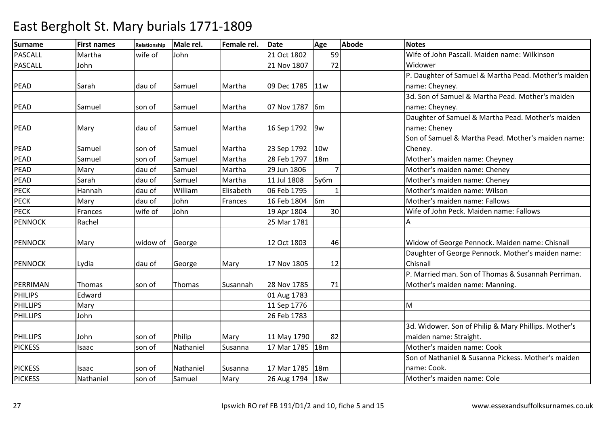| <b>Surname</b>  | <b>First names</b> | Relationship | Male rel. | Female rel. | <b>Date</b> | Age             | Abode | <b>Notes</b>                                         |
|-----------------|--------------------|--------------|-----------|-------------|-------------|-----------------|-------|------------------------------------------------------|
| <b>PASCALL</b>  | Martha             | wife of      | John      |             | 21 Oct 1802 | 59              |       | Wife of John Pascall. Maiden name: Wilkinson         |
| <b>PASCALL</b>  | John               |              |           |             | 21 Nov 1807 | 72              |       | Widower                                              |
|                 |                    |              |           |             |             |                 |       | P. Daughter of Samuel & Martha Pead. Mother's maiden |
| <b>PEAD</b>     | Sarah              | ldau of      | Samuel    | Martha      | 09 Dec 1785 | 11w             |       | name: Cheyney.                                       |
|                 |                    |              |           |             |             |                 |       | 3d. Son of Samuel & Martha Pead. Mother's maiden     |
| <b>PEAD</b>     | Samuel             | son of       | Samuel    | Martha      | 07 Nov 1787 | 6 <sub>m</sub>  |       | name: Cheyney.                                       |
|                 |                    |              |           |             |             |                 |       | Daughter of Samuel & Martha Pead. Mother's maiden    |
| <b>PEAD</b>     | Mary               | dau of       | Samuel    | Martha      | 16 Sep 1792 | 9w              |       | name: Cheney                                         |
|                 |                    |              |           |             |             |                 |       | Son of Samuel & Martha Pead. Mother's maiden name:   |
| <b>PEAD</b>     | Samuel             | son of       | Samuel    | Martha      | 23 Sep 1792 | 10 <sub>w</sub> |       | Cheney.                                              |
| PEAD            | Samuel             | son of       | Samuel    | Martha      | 28 Feb 1797 | <b>18m</b>      |       | Mother's maiden name: Cheyney                        |
| PEAD            | Mary               | dau of       | Samuel    | Martha      | 29 Jun 1806 | $\overline{7}$  |       | Mother's maiden name: Cheney                         |
| PEAD            | Sarah              | dau of       | Samuel    | Martha      | 11 Jul 1808 | 5y6m            |       | Mother's maiden name: Cheney                         |
| <b>PECK</b>     | Hannah             | dau of       | William   | Elisabeth   | 06 Feb 1795 |                 |       | Mother's maiden name: Wilson                         |
| <b>PECK</b>     | Mary               | dau of       | John      | Frances     | 16 Feb 1804 | 6 <sub>m</sub>  |       | Mother's maiden name: Fallows                        |
| PECK            | Frances            | wife of      | John      |             | 19 Apr 1804 | 30              |       | Wife of John Peck. Maiden name: Fallows              |
| <b>PENNOCK</b>  | Rachel             |              |           |             | 25 Mar 1781 |                 |       | А                                                    |
|                 |                    |              |           |             |             |                 |       |                                                      |
| <b>PENNOCK</b>  | Mary               | widow of     | George    |             | 12 Oct 1803 | 46              |       | Widow of George Pennock. Maiden name: Chisnall       |
|                 |                    |              |           |             |             |                 |       | Daughter of George Pennock. Mother's maiden name:    |
| <b>PENNOCK</b>  | Lydia              | dau of       | George    | Mary        | 17 Nov 1805 | 12              |       | Chisnall                                             |
|                 |                    |              |           |             |             |                 |       | P. Married man. Son of Thomas & Susannah Perriman.   |
| PERRIMAN        | Thomas             | son of       | Thomas    | Susannah    | 28 Nov 1785 | 71              |       | Mother's maiden name: Manning.                       |
| <b>PHILIPS</b>  | Edward             |              |           |             | 01 Aug 1783 |                 |       |                                                      |
| <b>PHILLIPS</b> | Mary               |              |           |             | 11 Sep 1776 |                 |       | M                                                    |
| <b>PHILLIPS</b> | John               |              |           |             | 26 Feb 1783 |                 |       |                                                      |
|                 |                    |              |           |             |             |                 |       | 3d. Widower. Son of Philip & Mary Phillips. Mother's |
| <b>PHILLIPS</b> | John               | son of       | Philip    | Mary        | 11 May 1790 | 82              |       | maiden name: Straight.                               |
| <b>PICKESS</b>  | Isaac              | son of       | Nathaniel | Susanna     | 17 Mar 1785 | 18m             |       | Mother's maiden name: Cook                           |
|                 |                    |              |           |             |             |                 |       | Son of Nathaniel & Susanna Pickess. Mother's maiden  |
| <b>PICKESS</b>  | Isaac              | son of       | Nathaniel | Susanna     | 17 Mar 1785 | 18 <sub>m</sub> |       | name: Cook.                                          |
| <b>PICKESS</b>  | Nathaniel          | son of       | Samuel    | Mary        | 26 Aug 1794 | <b>18w</b>      |       | Mother's maiden name: Cole                           |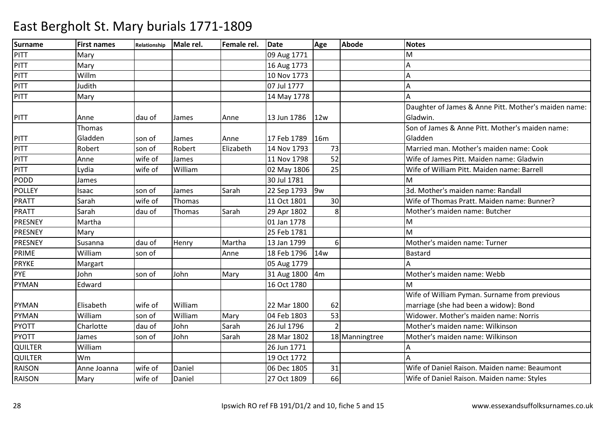| <b>Surname</b> | <b>First names</b> | Relationship | Male rel. | Female rel. | <b>Date</b> | Age             | <b>Abode</b>   | <b>Notes</b>                                         |
|----------------|--------------------|--------------|-----------|-------------|-------------|-----------------|----------------|------------------------------------------------------|
| PITT           | Mary               |              |           |             | 09 Aug 1771 |                 |                | м                                                    |
| PITT           | Mary               |              |           |             | 16 Aug 1773 |                 |                | Δ                                                    |
| PITT           | Willm              |              |           |             | 10 Nov 1773 |                 |                | Α                                                    |
| PITT           | Judith             |              |           |             | 07 Jul 1777 |                 |                | Δ                                                    |
| <b>PITT</b>    | Mary               |              |           |             | 14 May 1778 |                 |                |                                                      |
|                |                    |              |           |             |             |                 |                | Daughter of James & Anne Pitt. Mother's maiden name: |
| <b>PITT</b>    | Anne               | dau of       | James     | Anne        | 13 Jun 1786 | 12w             |                | Gladwin.                                             |
|                | Thomas             |              |           |             |             |                 |                | Son of James & Anne Pitt. Mother's maiden name:      |
| <b>PITT</b>    | Gladden            | son of       | James     | Anne        | 17 Feb 1789 | <b>16m</b>      |                | Gladden                                              |
| PITT           | Robert             | son of       | Robert    | Elizabeth   | 14 Nov 1793 | 73              |                | Married man. Mother's maiden name: Cook              |
| <b>PITT</b>    | Anne               | wife of      | James     |             | 11 Nov 1798 | 52              |                | Wife of James Pitt. Maiden name: Gladwin             |
| <b>PITT</b>    | Lydia              | wife of      | William   |             | 02 May 1806 | 25              |                | Wife of William Pitt. Maiden name: Barrell           |
| <b>PODD</b>    | James              |              |           |             | 30 Jul 1781 |                 |                | M                                                    |
| <b>POLLEY</b>  | Isaac              | son of       | James     | Sarah       | 22 Sep 1793 | 9w              |                | 3d. Mother's maiden name: Randall                    |
| <b>PRATT</b>   | Sarah              | wife of      | Thomas    |             | 11 Oct 1801 | 30              |                | Wife of Thomas Pratt. Maiden name: Bunner?           |
| <b>PRATT</b>   | Sarah              | dau of       | Thomas    | Sarah       | 29 Apr 1802 | 8               |                | Mother's maiden name: Butcher                        |
| PRESNEY        | Martha             |              |           |             | 01 Jan 1778 |                 |                | м                                                    |
| PRESNEY        | Mary               |              |           |             | 25 Feb 1781 |                 |                | M                                                    |
| PRESNEY        | Susanna            | dau of       | Henry     | Martha      | 13 Jan 1799 | 6 <sup>1</sup>  |                | Mother's maiden name: Turner                         |
| PRIME          | William            | son of       |           | Anne        | 18 Feb 1796 | 14 <sub>w</sub> |                | <b>Bastard</b>                                       |
| <b>PRYKE</b>   | Margart            |              |           |             | 05 Aug 1779 |                 |                | A                                                    |
| PYE            | John               | son of       | John      | Mary        | 31 Aug 1800 | 4m              |                | Mother's maiden name: Webb                           |
| <b>PYMAN</b>   | Edward             |              |           |             | 16 Oct 1780 |                 |                | M                                                    |
|                |                    |              |           |             |             |                 |                | Wife of William Pyman. Surname from previous         |
| <b>PYMAN</b>   | Elisabeth          | wife of      | William   |             | 22 Mar 1800 | 62              |                | marriage (she had been a widow): Bond                |
| <b>PYMAN</b>   | William            | son of       | William   | Mary        | 04 Feb 1803 | 53              |                | Widower. Mother's maiden name: Norris                |
| <b>PYOTT</b>   | Charlotte          | dau of       | John      | Sarah       | 26 Jul 1796 |                 |                | Mother's maiden name: Wilkinson                      |
| <b>PYOTT</b>   | James              | son of       | John      | Sarah       | 28 Mar 1802 |                 | 18 Manningtree | Mother's maiden name: Wilkinson                      |
| QUILTER        | William            |              |           |             | 26 Jun 1771 |                 |                |                                                      |
| <b>QUILTER</b> | Wm                 |              |           |             | 19 Oct 1772 |                 |                |                                                      |
| <b>RAISON</b>  | Anne Joanna        | wife of      | Daniel    |             | 06 Dec 1805 | 31              |                | Wife of Daniel Raison. Maiden name: Beaumont         |
| <b>RAISON</b>  | Mary               | wife of      | Daniel    |             | 27 Oct 1809 | 66              |                | Wife of Daniel Raison. Maiden name: Styles           |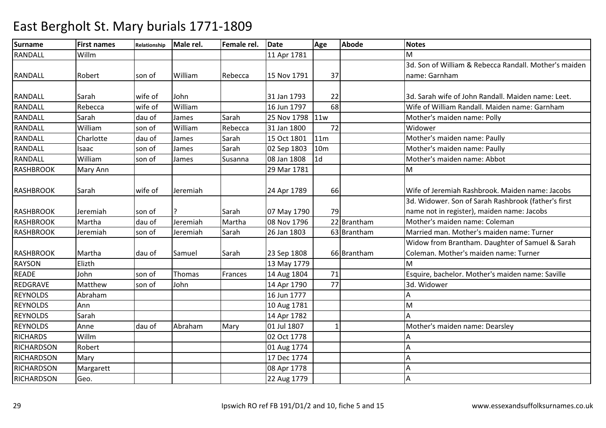| <b>Surname</b>    | <b>First names</b> | Relationship | Male rel. | Female rel. | <b>Date</b>     | Age             | <b>Abode</b> | <b>Notes</b>                                          |
|-------------------|--------------------|--------------|-----------|-------------|-----------------|-----------------|--------------|-------------------------------------------------------|
| <b>RANDALL</b>    | Willm              |              |           |             | 11 Apr 1781     |                 |              | M                                                     |
|                   |                    |              |           |             |                 |                 |              | 3d. Son of William & Rebecca Randall. Mother's maiden |
| <b>RANDALL</b>    | Robert             | son of       | William   | Rebecca     | 15 Nov 1791     | 37              |              | name: Garnham                                         |
|                   |                    |              |           |             |                 |                 |              |                                                       |
| <b>RANDALL</b>    | Sarah              | wife of      | John      |             | 31 Jan 1793     | 22              |              | 3d. Sarah wife of John Randall. Maiden name: Leet.    |
| <b>RANDALL</b>    | Rebecca            | wife of      | William   |             | 16 Jun 1797     | 68              |              | Wife of William Randall. Maiden name: Garnham         |
| <b>RANDALL</b>    | Sarah              | dau of       | James     | Sarah       | 25 Nov 1798 11w |                 |              | Mother's maiden name: Polly                           |
| <b>RANDALL</b>    | William            | son of       | William   | Rebecca     | 31 Jan 1800     | 72              |              | Widower                                               |
| RANDALL           | Charlotte          | dau of       | James     | Sarah       | 15 Oct 1801     | 11m             |              | Mother's maiden name: Paully                          |
| RANDALL           | Isaac              | son of       | James     | Sarah       | 02 Sep 1803     | 10 <sub>m</sub> |              | Mother's maiden name: Paully                          |
| RANDALL           | William            | son of       | James     | Susanna     | 08 Jan 1808     | 1d              |              | Mother's maiden name: Abbot                           |
| <b>RASHBROOK</b>  | Mary Ann           |              |           |             | 29 Mar 1781     |                 |              | M                                                     |
|                   |                    |              |           |             |                 |                 |              |                                                       |
| <b>RASHBROOK</b>  | Sarah              | wife of      | Jeremiah  |             | 24 Apr 1789     | 66              |              | Wife of Jeremiah Rashbrook. Maiden name: Jacobs       |
|                   |                    |              |           |             |                 |                 |              | 3d. Widower. Son of Sarah Rashbrook (father's first   |
| <b>RASHBROOK</b>  | Jeremiah           | son of       |           | Sarah       | 07 May 1790     | 79              |              | name not in register), maiden name: Jacobs            |
| <b>RASHBROOK</b>  | Martha             | dau of       | Jeremiah  | Martha      | 08 Nov 1796     |                 | 22 Brantham  | Mother's maiden name: Coleman                         |
| <b>RASHBROOK</b>  | Jeremiah           | son of       | Jeremiah  | Sarah       | 26 Jan 1803     |                 | 63 Brantham  | Married man. Mother's maiden name: Turner             |
|                   |                    |              |           |             |                 |                 |              | Widow from Brantham. Daughter of Samuel & Sarah       |
| RASHBROOK         | Martha             | dau of       | Samuel    | Sarah       | 23 Sep 1808     |                 | 66 Brantham  | Coleman. Mother's maiden name: Turner                 |
| <b>RAYSON</b>     | Elizth             |              |           |             | 13 May 1779     |                 |              | M                                                     |
| <b>READE</b>      | John               | son of       | Thomas    | Frances     | 14 Aug 1804     | 71              |              | Esquire, bachelor. Mother's maiden name: Saville      |
| <b>REDGRAVE</b>   | Matthew            | son of       | John      |             | 14 Apr 1790     | 77              |              | 3d. Widower                                           |
| <b>REYNOLDS</b>   | Abraham            |              |           |             | 16 Jun 1777     |                 |              | А                                                     |
| <b>REYNOLDS</b>   | Ann                |              |           |             | 10 Aug 1781     |                 |              | M                                                     |
| <b>REYNOLDS</b>   | Sarah              |              |           |             | 14 Apr 1782     |                 |              |                                                       |
| <b>REYNOLDS</b>   | Anne               | dau of       | Abraham   | Mary        | 01 Jul 1807     |                 |              | Mother's maiden name: Dearsley                        |
| <b>RICHARDS</b>   | Willm              |              |           |             | 02 Oct 1778     |                 |              |                                                       |
| <b>RICHARDSON</b> | Robert             |              |           |             | 01 Aug 1774     |                 |              |                                                       |
| <b>RICHARDSON</b> | Mary               |              |           |             | 17 Dec 1774     |                 |              |                                                       |
| <b>RICHARDSON</b> | Margarett          |              |           |             | 08 Apr 1778     |                 |              | А                                                     |
| <b>RICHARDSON</b> | Geo.               |              |           |             | 22 Aug 1779     |                 |              | А                                                     |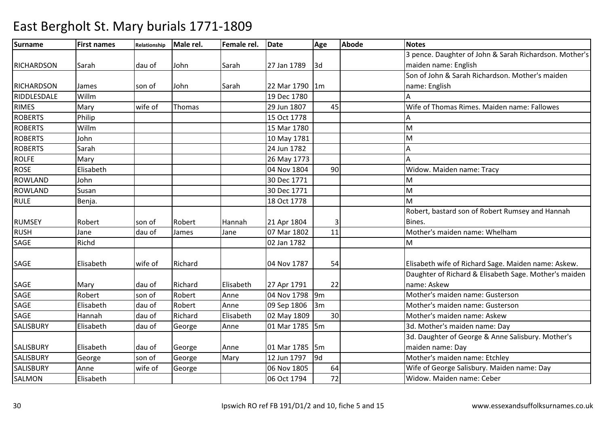| <b>Surname</b>    | <b>First names</b> | Relationship | Male rel. | Female rel. | <b>Date</b>    | Age             | <b>Abode</b> | <b>Notes</b>                                           |
|-------------------|--------------------|--------------|-----------|-------------|----------------|-----------------|--------------|--------------------------------------------------------|
|                   |                    |              |           |             |                |                 |              | 3 pence. Daughter of John & Sarah Richardson. Mother's |
| <b>RICHARDSON</b> | Sarah              | dau of       | John      | Sarah       | 27 Jan 1789    | 3d              |              | maiden name: English                                   |
|                   |                    |              |           |             |                |                 |              | Son of John & Sarah Richardson. Mother's maiden        |
| <b>RICHARDSON</b> | James              | son of       | John      | Sarah       | 22 Mar 1790    | 1m              |              | name: English                                          |
| RIDDLESDALE       | Willm              |              |           |             | 19 Dec 1780    |                 |              | Α                                                      |
| <b>RIMES</b>      | Mary               | wife of      | Thomas    |             | 29 Jun 1807    | 45              |              | Wife of Thomas Rimes, Maiden name: Fallowes            |
| <b>ROBERTS</b>    | Philip             |              |           |             | 15 Oct 1778    |                 |              |                                                        |
| <b>ROBERTS</b>    | Willm              |              |           |             | 15 Mar 1780    |                 |              | M                                                      |
| <b>ROBERTS</b>    | John               |              |           |             | 10 May 1781    |                 |              | M                                                      |
| <b>ROBERTS</b>    | Sarah              |              |           |             | 24 Jun 1782    |                 |              | Α                                                      |
| <b>ROLFE</b>      | Mary               |              |           |             | 26 May 1773    |                 |              |                                                        |
| <b>ROSE</b>       | Elisabeth          |              |           |             | 04 Nov 1804    | 90              |              | Widow. Maiden name: Tracy                              |
| <b>ROWLAND</b>    | John               |              |           |             | 30 Dec 1771    |                 |              | M                                                      |
| <b>ROWLAND</b>    | Susan              |              |           |             | 30 Dec 1771    |                 |              | M                                                      |
| <b>RULE</b>       | Benja.             |              |           |             | 18 Oct 1778    |                 |              | M                                                      |
|                   |                    |              |           |             |                |                 |              | Robert, bastard son of Robert Rumsey and Hannah        |
| <b>RUMSEY</b>     | Robert             | son of       | Robert    | Hannah      | 21 Apr 1804    |                 |              | Bines.                                                 |
| <b>RUSH</b>       | Jane               | dau of       | James     | Jane        | 07 Mar 1802    | 11              |              | Mother's maiden name: Whelham                          |
| <b>SAGE</b>       | Richd              |              |           |             | 02 Jan 1782    |                 |              | M                                                      |
|                   |                    |              |           |             |                |                 |              |                                                        |
| <b>SAGE</b>       | Elisabeth          | wife of      | Richard   |             | 04 Nov 1787    | 54              |              | Elisabeth wife of Richard Sage. Maiden name: Askew.    |
|                   |                    |              |           |             |                |                 |              | Daughter of Richard & Elisabeth Sage. Mother's maiden  |
| <b>SAGE</b>       | Mary               | dau of       | Richard   | Elisabeth   | 27 Apr 1791    | 22              |              | name: Askew                                            |
| <b>SAGE</b>       | Robert             | son of       | Robert    | Anne        | 04 Nov 1798    | 9m              |              | Mother's maiden name: Gusterson                        |
| <b>SAGE</b>       | Elisabeth          | dau of       | Robert    | Anne        | 09 Sep 1806    | 3m              |              | Mother's maiden name: Gusterson                        |
| <b>SAGE</b>       | Hannah             | dau of       | Richard   | Elisabeth   | 02 May 1809    | 30              |              | Mother's maiden name: Askew                            |
| <b>SALISBURY</b>  | Elisabeth          | dau of       | George    | Anne        | 01 Mar 1785 5m |                 |              | 3d. Mother's maiden name: Day                          |
|                   |                    |              |           |             |                |                 |              | 3d. Daughter of George & Anne Salisbury. Mother's      |
| <b>SALISBURY</b>  | Elisabeth          | dau of       | George    | Anne        | 01 Mar 1785 5m |                 |              | maiden name: Day                                       |
| <b>SALISBURY</b>  | George             | son of       | George    | Mary        | 12 Jun 1797    | l <sub>9d</sub> |              | Mother's maiden name: Etchley                          |
| <b>SALISBURY</b>  | Anne               | wife of      | George    |             | 06 Nov 1805    | 64              |              | Wife of George Salisbury. Maiden name: Day             |
| SALMON            | Elisabeth          |              |           |             | 06 Oct 1794    | 72              |              | Widow. Maiden name: Ceber                              |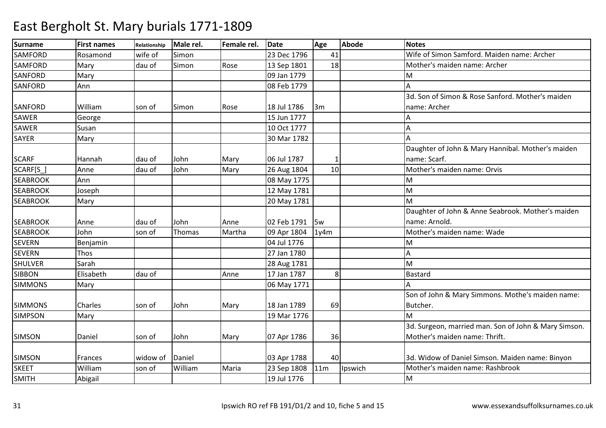| <b>Surname</b>  | <b>First names</b> | Relationship | Male rel. | Female rel. | <b>Date</b> | Age  | <b>Abode</b> | <b>Notes</b>                                         |
|-----------------|--------------------|--------------|-----------|-------------|-------------|------|--------------|------------------------------------------------------|
| <b>SAMFORD</b>  | Rosamond           | wife of      | Simon     |             | 23 Dec 1796 | 41   |              | Wife of Simon Samford. Maiden name: Archer           |
| <b>SAMFORD</b>  | Mary               | dau of       | Simon     | Rose        | 13 Sep 1801 | 18   |              | Mother's maiden name: Archer                         |
| <b>SANFORD</b>  | Mary               |              |           |             | 09 Jan 1779 |      |              | M                                                    |
| <b>SANFORD</b>  | Ann                |              |           |             | 08 Feb 1779 |      |              |                                                      |
|                 |                    |              |           |             |             |      |              | 3d. Son of Simon & Rose Sanford. Mother's maiden     |
| SANFORD         | William            | son of       | Simon     | Rose        | 18 Jul 1786 | 3m   |              | name: Archer                                         |
| SAWER           | George             |              |           |             | 15 Jun 1777 |      |              | А                                                    |
| <b>SAWER</b>    | Susan              |              |           |             | 10 Oct 1777 |      |              |                                                      |
| <b>SAYER</b>    | Mary               |              |           |             | 30 Mar 1782 |      |              |                                                      |
|                 |                    |              |           |             |             |      |              | Daughter of John & Mary Hannibal. Mother's maiden    |
| <b>SCARF</b>    | Hannah             | dau of       | John      | Mary        | 06 Jul 1787 |      |              | name: Scarf.                                         |
| SCARF[S_]       | Anne               | dau of       | John      | Mary        | 26 Aug 1804 | 10   |              | Mother's maiden name: Orvis                          |
| <b>SEABROOK</b> | Ann                |              |           |             | 08 May 1775 |      |              | M                                                    |
| <b>SEABROOK</b> | Joseph             |              |           |             | 12 May 1781 |      |              | M                                                    |
| <b>SEABROOK</b> | Mary               |              |           |             | 20 May 1781 |      |              | M                                                    |
|                 |                    |              |           |             |             |      |              | Daughter of John & Anne Seabrook. Mother's maiden    |
| <b>SEABROOK</b> | Anne               | dau of       | John      | Anne        | 02 Feb 1791 | 5w   |              | name: Arnold.                                        |
| <b>SEABROOK</b> | John               | son of       | Thomas    | Martha      | 09 Apr 1804 | 1y4m |              | Mother's maiden name: Wade                           |
| <b>SEVERN</b>   | Benjamin           |              |           |             | 04 Jul 1776 |      |              | M                                                    |
| <b>SEVERN</b>   | Thos               |              |           |             | 27 Jan 1780 |      |              |                                                      |
| <b>SHULVER</b>  | Sarah              |              |           |             | 28 Aug 1781 |      |              | M                                                    |
| <b>SIBBON</b>   | Elisabeth          | dau of       |           | Anne        | 17 Jan 1787 | 8    |              | <b>Bastard</b>                                       |
| <b>SIMMONS</b>  | Mary               |              |           |             | 06 May 1771 |      |              |                                                      |
|                 |                    |              |           |             |             |      |              | Son of John & Mary Simmons. Mothe's maiden name:     |
| <b>SIMMONS</b>  | Charles            | son of       | John      | Mary        | 18 Jan 1789 | 69   |              | Butcher.                                             |
| <b>SIMPSON</b>  | Mary               |              |           |             | 19 Mar 1776 |      |              | M                                                    |
|                 |                    |              |           |             |             |      |              | 3d. Surgeon, married man. Son of John & Mary Simson. |
| <b>SIMSON</b>   | Daniel             | son of       | John      | Mary        | 07 Apr 1786 | 36   |              | Mother's maiden name: Thrift.                        |
|                 |                    |              |           |             |             |      |              |                                                      |
| <b>SIMSON</b>   | Frances            | widow of     | Daniel    |             | 03 Apr 1788 | 40   |              | 3d. Widow of Daniel Simson. Maiden name: Binyon      |
| <b>SKEET</b>    | William            | son of       | William   | Maria       | 23 Sep 1808 | 11m  | Ipswich      | Mother's maiden name: Rashbrook                      |
| <b>SMITH</b>    | Abigail            |              |           |             | 19 Jul 1776 |      |              | М                                                    |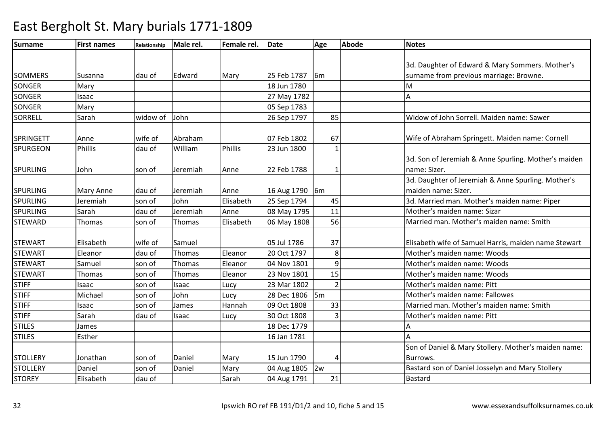| Surname          | <b>First names</b> | Relationship | Male rel. | Female rel. | <b>Date</b> | Age            | <b>Abode</b> | <b>Notes</b>                                         |
|------------------|--------------------|--------------|-----------|-------------|-------------|----------------|--------------|------------------------------------------------------|
|                  |                    |              |           |             |             |                |              |                                                      |
|                  |                    |              |           |             |             |                |              | 3d. Daughter of Edward & Mary Sommers. Mother's      |
| <b>SOMMERS</b>   | Susanna            | dau of       | Edward    | Mary        | 25 Feb 1787 | l6m            |              | surname from previous marriage: Browne.              |
| <b>SONGER</b>    | Mary               |              |           |             | 18 Jun 1780 |                |              | M                                                    |
| <b>SONGER</b>    | Isaac              |              |           |             | 27 May 1782 |                |              | А                                                    |
| <b>SONGER</b>    | Mary               |              |           |             | 05 Sep 1783 |                |              |                                                      |
| <b>SORRELL</b>   | Sarah              | widow of     | John      |             | 26 Sep 1797 | 85             |              | Widow of John Sorrell. Maiden name: Sawer            |
| <b>SPRINGETT</b> | Anne               | wife of      | Abraham   |             | 07 Feb 1802 | 67             |              | Wife of Abraham Springett. Maiden name: Cornell      |
| <b>SPURGEON</b>  | <b>Phillis</b>     | dau of       | William   | Phillis     | 23 Jun 1800 |                |              |                                                      |
|                  |                    |              |           |             |             |                |              | 3d. Son of Jeremiah & Anne Spurling. Mother's maiden |
| <b>SPURLING</b>  | John               | son of       | Jeremiah  | Anne        | 22 Feb 1788 |                |              | name: Sizer.                                         |
|                  |                    |              |           |             |             |                |              | 3d. Daughter of Jeremiah & Anne Spurling. Mother's   |
| <b>SPURLING</b>  | Mary Anne          | dau of       | Jeremiah  | Anne        | 16 Aug 1790 | 6 <sub>m</sub> |              | maiden name: Sizer.                                  |
| <b>SPURLING</b>  | Jeremiah           | son of       | John      | Elisabeth   | 25 Sep 1794 | 45             |              | 3d. Married man. Mother's maiden name: Piper         |
| <b>SPURLING</b>  | Sarah              | dau of       | Jeremiah  | Anne        | 08 May 1795 | 11             |              | Mother's maiden name: Sizar                          |
| <b>STEWARD</b>   | Thomas             | son of       | Thomas    | Elisabeth   | 06 May 1808 | 56             |              | Married man. Mother's maiden name: Smith             |
|                  |                    |              |           |             |             |                |              |                                                      |
| <b>STEWART</b>   | Elisabeth          | wife of      | Samuel    |             | 05 Jul 1786 | 37             |              | Elisabeth wife of Samuel Harris, maiden name Stewart |
| <b>STEWART</b>   | Eleanor            | dau of       | Thomas    | Eleanor     | 20 Oct 1797 | 8              |              | Mother's maiden name: Woods                          |
| <b>STEWART</b>   | Samuel             | son of       | Thomas    | Eleanor     | 04 Nov 1801 | 9              |              | Mother's maiden name: Woods                          |
| <b>STEWART</b>   | Thomas             | son of       | Thomas    | Eleanor     | 23 Nov 1801 | 15             |              | Mother's maiden name: Woods                          |
| <b>STIFF</b>     | Isaac              | son of       | Isaac     | Lucy        | 23 Mar 1802 |                |              | Mother's maiden name: Pitt                           |
| <b>STIFF</b>     | Michael            | son of       | John      | Lucy        | 28 Dec 1806 | 5m             |              | Mother's maiden name: Fallowes                       |
| <b>STIFF</b>     | Isaac              | son of       | James     | Hannah      | 09 Oct 1808 | 33             |              | Married man. Mother's maiden name: Smith             |
| <b>STIFF</b>     | Sarah              | dau of       | Isaac     | Lucy        | 30 Oct 1808 |                |              | Mother's maiden name: Pitt                           |
| <b>STILES</b>    | James              |              |           |             | 18 Dec 1779 |                |              |                                                      |
| <b>STILES</b>    | Esther             |              |           |             | 16 Jan 1781 |                |              |                                                      |
|                  |                    |              |           |             |             |                |              | Son of Daniel & Mary Stollery. Mother's maiden name: |
| <b>STOLLERY</b>  | Jonathan           | son of       | Daniel    | Mary        | 15 Jun 1790 | Δ              |              | Burrows.                                             |
| <b>STOLLERY</b>  | Daniel             | son of       | Daniel    | Mary        | 04 Aug 1805 | 2w             |              | Bastard son of Daniel Josselyn and Mary Stollery     |
| <b>STOREY</b>    | Elisabeth          | dau of       |           | Sarah       | 04 Aug 1791 | 21             |              | <b>Bastard</b>                                       |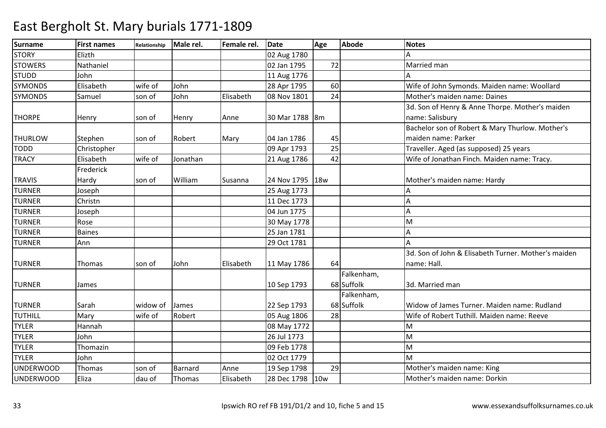| <b>Surname</b>   | <b>First names</b> | Relationship | Male rel. | Female rel. | <b>Date</b>      | Age | <b>Abode</b> | <b>Notes</b>                                        |
|------------------|--------------------|--------------|-----------|-------------|------------------|-----|--------------|-----------------------------------------------------|
| <b>STORY</b>     | Elizth             |              |           |             | 02 Aug 1780      |     |              |                                                     |
| <b>STOWERS</b>   | Nathaniel          |              |           |             | 02 Jan 1795      | 72  |              | Married man                                         |
| <b>STUDD</b>     | John               |              |           |             | 11 Aug 1776      |     |              |                                                     |
| <b>SYMONDS</b>   | Elisabeth          | wife of      | John      |             | 28 Apr 1795      | 60  |              | Wife of John Symonds. Maiden name: Woollard         |
| <b>SYMONDS</b>   | Samuel             | son of       | John      | Elisabeth   | 08 Nov 1801      | 24  |              | Mother's maiden name: Daines                        |
|                  |                    |              |           |             |                  |     |              | 3d. Son of Henry & Anne Thorpe. Mother's maiden     |
| <b>THORPE</b>    | Henry              | son of       | Henry     | Anne        | 30 Mar 1788   8m |     |              | name: Salisbury                                     |
|                  |                    |              |           |             |                  |     |              | Bachelor son of Robert & Mary Thurlow. Mother's     |
| <b>THURLOW</b>   | Stephen            | son of       | Robert    | Mary        | 04 Jan 1786      | 45  |              | maiden name: Parker                                 |
| <b>TODD</b>      | Christopher        |              |           |             | 09 Apr 1793      | 25  |              | Traveller. Aged (as supposed) 25 years              |
| <b>TRACY</b>     | Elisabeth          | wife of      | Jonathan  |             | 21 Aug 1786      | 42  |              | Wife of Jonathan Finch. Maiden name: Tracy.         |
|                  | Frederick          |              |           |             |                  |     |              |                                                     |
| <b>TRAVIS</b>    | Hardy              | son of       | William   | Susanna     | 24 Nov 1795      | 18w |              | Mother's maiden name: Hardy                         |
| <b>TURNER</b>    | Joseph             |              |           |             | 25 Aug 1773      |     |              |                                                     |
| <b>TURNER</b>    | Christn            |              |           |             | 11 Dec 1773      |     |              | А                                                   |
| <b>TURNER</b>    | Joseph             |              |           |             | 04 Jun 1775      |     |              | А                                                   |
| <b>TURNER</b>    | Rose               |              |           |             | 30 May 1778      |     |              | M                                                   |
| <b>TURNER</b>    | <b>Baines</b>      |              |           |             | 25 Jan 1781      |     |              |                                                     |
| <b>TURNER</b>    | Ann                |              |           |             | 29 Oct 1781      |     |              |                                                     |
|                  |                    |              |           |             |                  |     |              | 3d. Son of John & Elisabeth Turner. Mother's maiden |
| <b>TURNER</b>    | Thomas             | son of       | John      | Elisabeth   | 11 May 1786      | 64  |              | name: Hall.                                         |
|                  |                    |              |           |             |                  |     | Falkenham,   |                                                     |
| <b>TURNER</b>    | James              |              |           |             | 10 Sep 1793      |     | 68 Suffolk   | 3d. Married man                                     |
|                  |                    |              |           |             |                  |     | Falkenham,   |                                                     |
| <b>TURNER</b>    | Sarah              | widow of     | James     |             | 22 Sep 1793      |     | 68 Suffolk   | Widow of James Turner. Maiden name: Rudland         |
| TUTHILL          | Mary               | wife of      | Robert    |             | 05 Aug 1806      | 28  |              | Wife of Robert Tuthill. Maiden name: Reeve          |
| <b>TYLER</b>     | Hannah             |              |           |             | 08 May 1772      |     |              | M                                                   |
| <b>TYLER</b>     | John               |              |           |             | 26 Jul 1773      |     |              | M                                                   |
| <b>TYLER</b>     | Thomazin           |              |           |             | 09 Feb 1778      |     |              | M                                                   |
| <b>TYLER</b>     | John               |              |           |             | 02 Oct 1779      |     |              | M                                                   |
| <b>UNDERWOOD</b> | Thomas             | son of       | Barnard   | Anne        | 19 Sep 1798      | 29  |              | Mother's maiden name: King                          |
| <b>UNDERWOOD</b> | Eliza              | dau of       | Thomas    | Elisabeth   | 28 Dec 1798      | 10w |              | Mother's maiden name: Dorkin                        |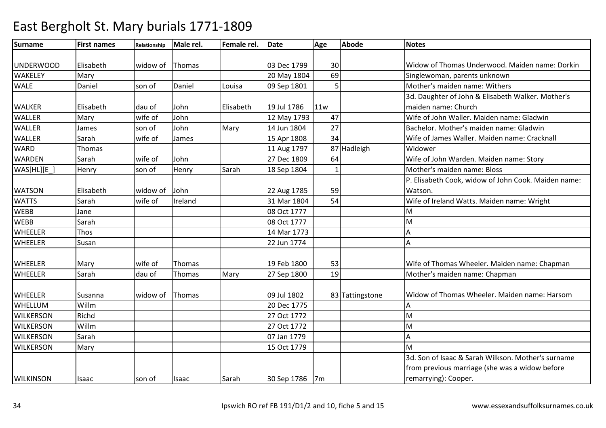| <b>Surname</b>   | <b>First names</b> | Relationship | Male rel. | Female rel. | <b>Date</b>    | Age | <b>Abode</b>    | <b>Notes</b>                                        |
|------------------|--------------------|--------------|-----------|-------------|----------------|-----|-----------------|-----------------------------------------------------|
|                  |                    |              |           |             |                |     |                 |                                                     |
| <b>UNDERWOOD</b> | Elisabeth          | widow of     | Thomas    |             | 03 Dec 1799    | 30  |                 | Widow of Thomas Underwood. Maiden name: Dorkin      |
| <b>WAKELEY</b>   | Mary               |              |           |             | 20 May 1804    | 69  |                 | Singlewoman, parents unknown                        |
| <b>WALE</b>      | Daniel             | son of       | Daniel    | Louisa      | 09 Sep 1801    |     |                 | Mother's maiden name: Withers                       |
|                  |                    |              |           |             |                |     |                 | 3d. Daughter of John & Elisabeth Walker. Mother's   |
| <b>WALKER</b>    | Elisabeth          | dau of       | John      | Elisabeth   | 19 Jul 1786    | 11w |                 | maiden name: Church                                 |
| <b>WALLER</b>    | Mary               | wife of      | John      |             | 12 May 1793    | 47  |                 | Wife of John Waller. Maiden name: Gladwin           |
| <b>WALLER</b>    | James              | son of       | John      | Mary        | 14 Jun 1804    | 27  |                 | Bachelor. Mother's maiden name: Gladwin             |
| <b>WALLER</b>    | Sarah              | wife of      | James     |             | 15 Apr 1808    | 34  |                 | Wife of James Waller. Maiden name: Cracknall        |
| <b>WARD</b>      | <b>Thomas</b>      |              |           |             | 11 Aug 1797    |     | 87 Hadleigh     | Widower                                             |
| <b>WARDEN</b>    | Sarah              | wife of      | John      |             | 27 Dec 1809    | 64  |                 | Wife of John Warden. Maiden name: Story             |
| WAS[HL][E_]      | Henry              | son of       | Henry     | Sarah       | 18 Sep 1804    |     |                 | Mother's maiden name: Bloss                         |
|                  |                    |              |           |             |                |     |                 | P. Elisabeth Cook, widow of John Cook. Maiden name: |
| <b>WATSON</b>    | Elisabeth          | widow of     | John      |             | 22 Aug 1785    | 59  |                 | Watson.                                             |
| <b>WATTS</b>     | Sarah              | wife of      | Ireland   |             | 31 Mar 1804    | 54  |                 | Wife of Ireland Watts. Maiden name: Wright          |
| <b>WEBB</b>      | Jane               |              |           |             | 08 Oct 1777    |     |                 | м                                                   |
| <b>WEBB</b>      | Sarah              |              |           |             | 08 Oct 1777    |     |                 | M                                                   |
| <b>WHEELER</b>   | Thos               |              |           |             | 14 Mar 1773    |     |                 | Α                                                   |
| <b>WHEELER</b>   | Susan              |              |           |             | 22 Jun 1774    |     |                 | А                                                   |
|                  |                    |              |           |             |                |     |                 |                                                     |
| <b>WHEELER</b>   | Mary               | wife of      | Thomas    |             | 19 Feb 1800    | 53  |                 | Wife of Thomas Wheeler. Maiden name: Chapman        |
| <b>WHEELER</b>   | Sarah              | dau of       | Thomas    | Mary        | 27 Sep 1800    | 19  |                 | Mother's maiden name: Chapman                       |
|                  |                    |              |           |             |                |     |                 |                                                     |
| WHEELER          | Susanna            | widow of     | Thomas    |             | 09 Jul 1802    |     | 83 Tattingstone | Widow of Thomas Wheeler. Maiden name: Harsom        |
| WHELLUM          | Willm              |              |           |             | 20 Dec 1775    |     |                 | Α                                                   |
| <b>WILKERSON</b> | Richd              |              |           |             | 27 Oct 1772    |     |                 | M                                                   |
| <b>WILKERSON</b> | Willm              |              |           |             | 27 Oct 1772    |     |                 | M                                                   |
| <b>WILKERSON</b> | Sarah              |              |           |             | 07 Jan 1779    |     |                 | А                                                   |
| <b>WILKERSON</b> | Mary               |              |           |             | 15 Oct 1779    |     |                 | M                                                   |
|                  |                    |              |           |             |                |     |                 | 3d. Son of Isaac & Sarah Wilkson. Mother's surname  |
|                  |                    |              |           |             |                |     |                 | from previous marriage (she was a widow before      |
| <b>WILKINSON</b> | Isaac              | son of       | Isaac     | Sarah       | 30 Sep 1786 7m |     |                 | remarrying): Cooper.                                |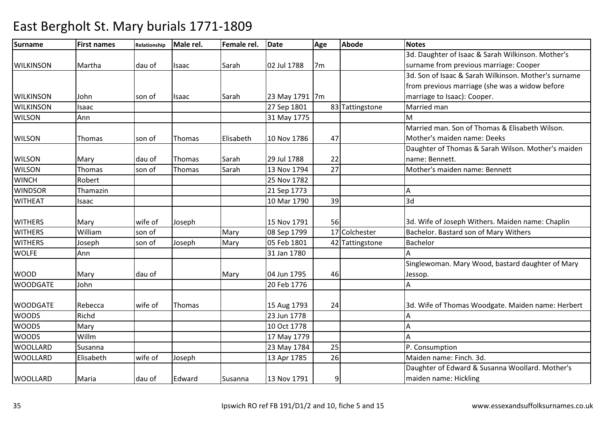| <b>Surname</b>   | <b>First names</b> | Relationship | Male rel. | Female rel. | <b>Date</b>    | Age            | <b>Abode</b>    | <b>Notes</b>                                         |
|------------------|--------------------|--------------|-----------|-------------|----------------|----------------|-----------------|------------------------------------------------------|
|                  |                    |              |           |             |                |                |                 | 3d. Daughter of Isaac & Sarah Wilkinson. Mother's    |
| <b>WILKINSON</b> | Martha             | dau of       | Isaac     | Sarah       | 02 Jul 1788    | 7 <sub>m</sub> |                 | surname from previous marriage: Cooper               |
|                  |                    |              |           |             |                |                |                 | 3d. Son of Isaac & Sarah Wilkinson. Mother's surname |
|                  |                    |              |           |             |                |                |                 | from previous marriage (she was a widow before       |
| <b>WILKINSON</b> | John               | son of       | Isaac     | Sarah       | 23 May 1791 7m |                |                 | marriage to Isaac): Cooper.                          |
| <b>WILKINSON</b> | Isaac              |              |           |             | 27 Sep 1801    |                | 83 Tattingstone | Married man                                          |
| <b>WILSON</b>    | Ann                |              |           |             | 31 May 1775    |                |                 | M                                                    |
|                  |                    |              |           |             |                |                |                 | Married man. Son of Thomas & Elisabeth Wilson.       |
| <b>WILSON</b>    | Thomas             | son of       | Thomas    | Elisabeth   | 10 Nov 1786    | 47             |                 | Mother's maiden name: Deeks                          |
|                  |                    |              |           |             |                |                |                 | Daughter of Thomas & Sarah Wilson. Mother's maiden   |
| <b>WILSON</b>    | Mary               | dau of       | Thomas    | Sarah       | 29 Jul 1788    | 22             |                 | name: Bennett.                                       |
| <b>WILSON</b>    | Thomas             | son of       | Thomas    | Sarah       | 13 Nov 1794    | 27             |                 | Mother's maiden name: Bennett                        |
| <b>WINCH</b>     | Robert             |              |           |             | 25 Nov 1782    |                |                 |                                                      |
| <b>WINDSOR</b>   | Thamazin           |              |           |             | 21 Sep 1773    |                |                 | А                                                    |
| <b>WITHEAT</b>   | Isaac              |              |           |             | 10 Mar 1790    | 39             |                 | 3d                                                   |
| <b>WITHERS</b>   | Mary               | wife of      | Joseph    |             | 15 Nov 1791    | 56             |                 | 3d. Wife of Joseph Withers. Maiden name: Chaplin     |
| <b>WITHERS</b>   | William            | son of       |           | Mary        | 08 Sep 1799    |                | 17 Colchester   | Bachelor. Bastard son of Mary Withers                |
| <b>WITHERS</b>   | Joseph             | son of       | Joseph    | Mary        | 05 Feb 1801    |                | 42 Tattingstone | Bachelor                                             |
| <b>WOLFE</b>     | Ann                |              |           |             | 31 Jan 1780    |                |                 |                                                      |
|                  |                    |              |           |             |                |                |                 | Singlewoman. Mary Wood, bastard daughter of Mary     |
| <b>WOOD</b>      | Mary               | dau of       |           | Mary        | 04 Jun 1795    | 46             |                 | Jessop.                                              |
| <b>WOODGATE</b>  | John               |              |           |             | 20 Feb 1776    |                |                 | А                                                    |
| <b>WOODGATE</b>  | Rebecca            | wife of      | Thomas    |             | 15 Aug 1793    | 24             |                 | 3d. Wife of Thomas Woodgate. Maiden name: Herbert    |
| <b>WOODS</b>     | Richd              |              |           |             | 23 Jun 1778    |                |                 | А                                                    |
| <b>WOODS</b>     | Mary               |              |           |             | 10 Oct 1778    |                |                 |                                                      |
| <b>WOODS</b>     | Willm              |              |           |             | 17 May 1779    |                |                 |                                                      |
| <b>WOOLLARD</b>  | Susanna            |              |           |             | 23 May 1784    | 25             |                 | P. Consumption                                       |
| <b>WOOLLARD</b>  | Elisabeth          | wife of      | Joseph    |             | 13 Apr 1785    | 26             |                 | Maiden name: Finch, 3d.                              |
|                  |                    |              |           |             |                |                |                 | Daughter of Edward & Susanna Woollard. Mother's      |
| <b>WOOLLARD</b>  | Maria              | dau of       | Edward    | Susanna     | 13 Nov 1791    | 9              |                 | maiden name: Hickling                                |